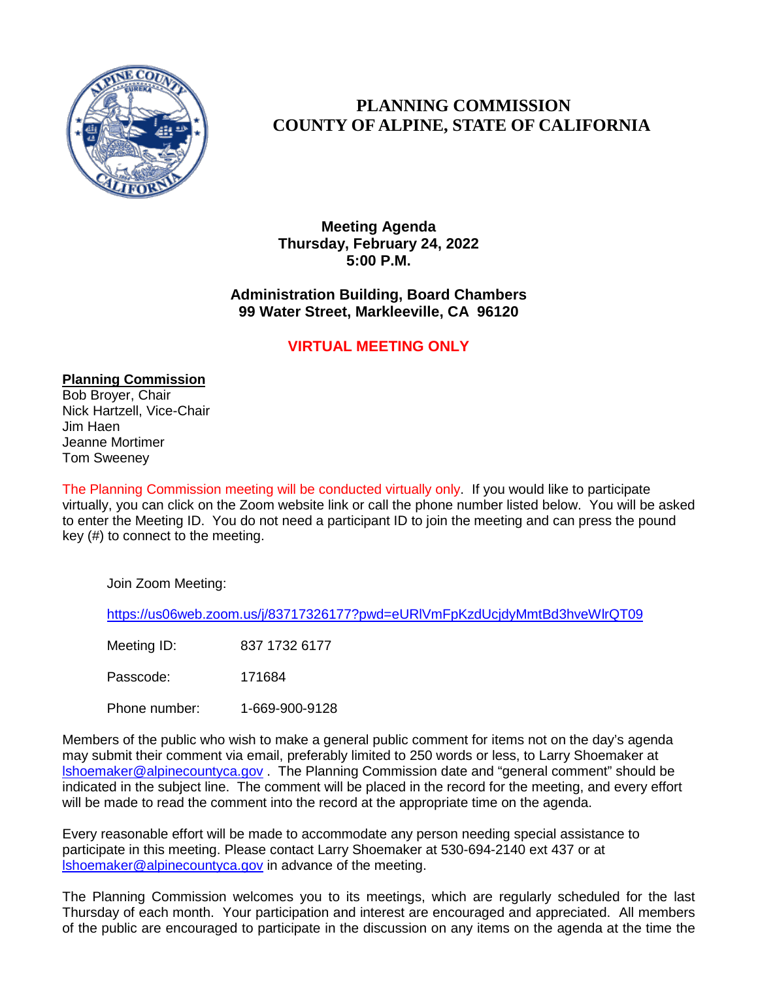

## **PLANNING COMMISSION COUNTY OF ALPINE, STATE OF CALIFORNIA**

**Meeting Agenda Thursday, February 24, 2022 5:00 P.M.**

## **Administration Building, Board Chambers 99 Water Street, Markleeville, CA 96120**

## **VIRTUAL MEETING ONLY**

**Planning Commission** Bob Broyer, Chair Nick Hartzell, Vice-Chair Jim Haen Jeanne Mortimer

Tom Sweeney

The Planning Commission meeting will be conducted virtually only. If you would like to participate virtually, you can click on the Zoom website link or call the phone number listed below. You will be asked to enter the Meeting ID. You do not need a participant ID to join the meeting and can press the pound key (#) to connect to the meeting.

Join Zoom Meeting:

<https://us06web.zoom.us/j/83717326177?pwd=eURlVmFpKzdUcjdyMmtBd3hveWlrQT09>

Meeting ID: 837 1732 6177

Passcode: 171684

Phone number: 1-669-900-9128

Members of the public who wish to make a general public comment for items not on the day's agenda may submit their comment via email, preferably limited to 250 words or less, to Larry Shoemaker at [lshoemaker@alpinecountyca.gov](mailto:lshoemaker@alpinecountyca.gov) . The Planning Commission date and "general comment" should be indicated in the subject line. The comment will be placed in the record for the meeting, and every effort will be made to read the comment into the record at the appropriate time on the agenda.

Every reasonable effort will be made to accommodate any person needing special assistance to participate in this meeting. Please contact Larry Shoemaker at 530-694-2140 ext 437 or at [lshoemaker@alpinecountyca.gov](mailto:lshoemaker@alpinecountyca.gov) in advance of the meeting.

The Planning Commission welcomes you to its meetings, which are regularly scheduled for the last Thursday of each month. Your participation and interest are encouraged and appreciated. All members of the public are encouraged to participate in the discussion on any items on the agenda at the time the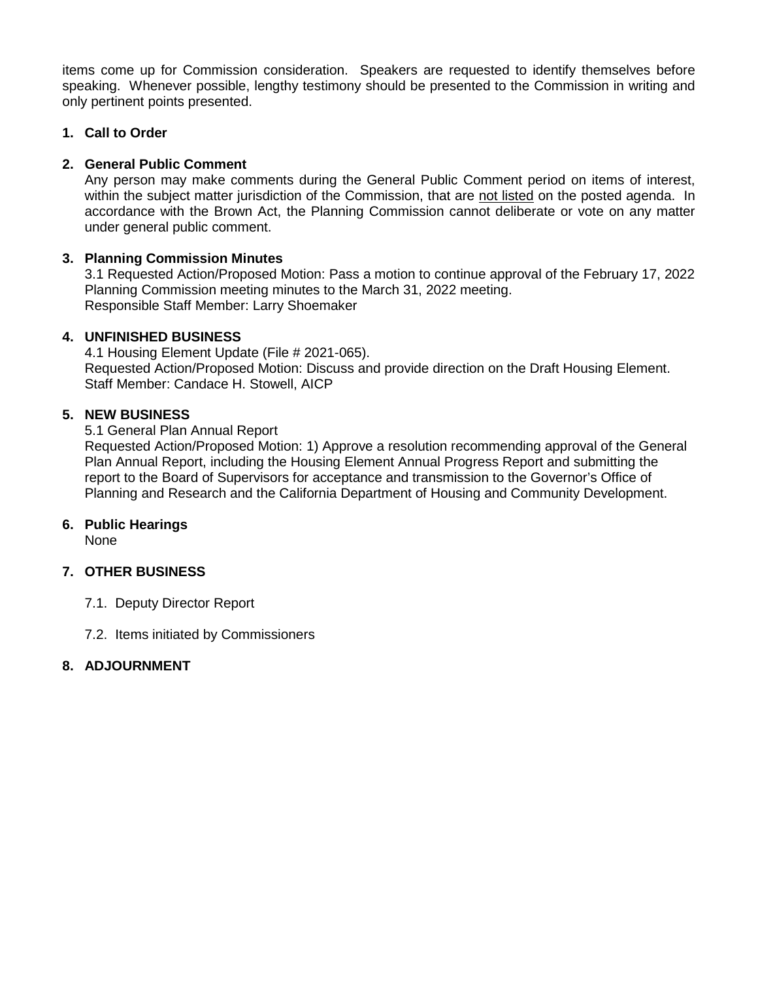items come up for Commission consideration. Speakers are requested to identify themselves before speaking. Whenever possible, lengthy testimony should be presented to the Commission in writing and only pertinent points presented.

### **1. Call to Order**

### **2. General Public Comment**

Any person may make comments during the General Public Comment period on items of interest, within the subject matter jurisdiction of the Commission, that are not listed on the posted agenda. In accordance with the Brown Act, the Planning Commission cannot deliberate or vote on any matter under general public comment.

## **3. Planning Commission Minutes**

3.1 Requested Action/Proposed Motion: Pass a motion to continue approval of the February 17, 2022 Planning Commission meeting minutes to the March 31, 2022 meeting. Responsible Staff Member: Larry Shoemaker

### **4. UNFINISHED BUSINESS**

4.1 Housing Element Update (File # 2021-065). Requested Action/Proposed Motion: Discuss and provide direction on the Draft Housing Element. Staff Member: Candace H. Stowell, AICP

## **5. NEW BUSINESS**

### 5.1 General Plan Annual Report

Requested Action/Proposed Motion: 1) Approve a resolution recommending approval of the General Plan Annual Report, including the Housing Element Annual Progress Report and submitting the report to the Board of Supervisors for acceptance and transmission to the Governor's Office of Planning and Research and the California Department of Housing and Community Development.

## **6. Public Hearings**

None

## **7. OTHER BUSINESS**

- 7.1. Deputy Director Report
- 7.2. Items initiated by Commissioners

## **8. ADJOURNMENT**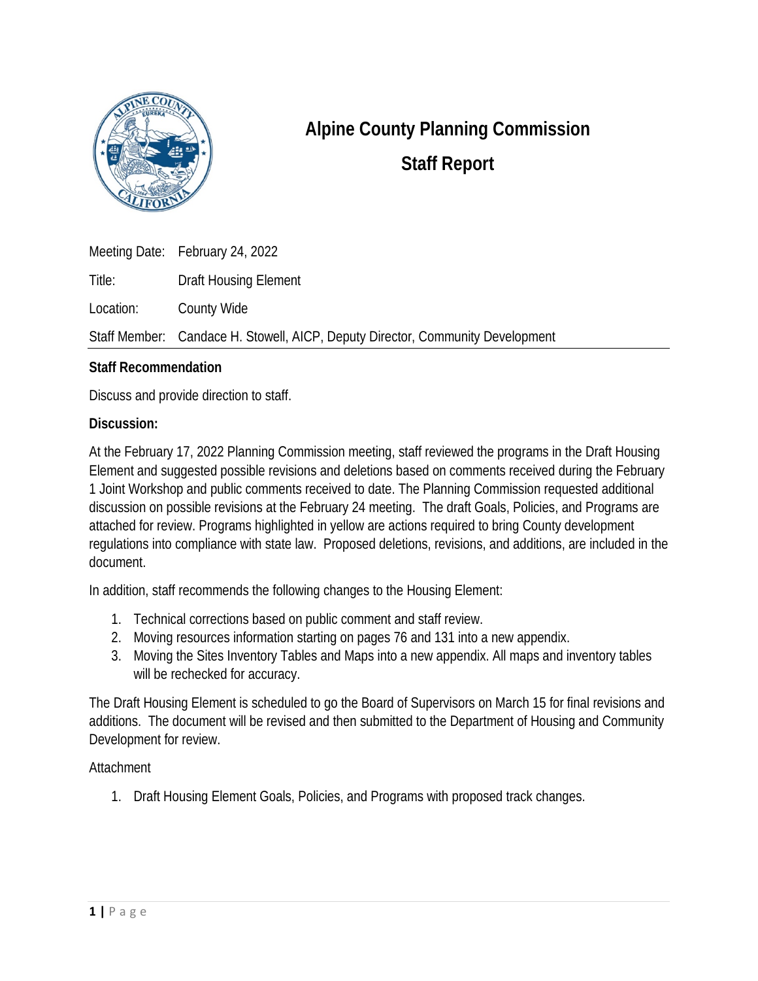

## **Alpine County Planning Commission Staff Report**

Meeting Date: February 24, 2022 Title: Draft Housing Element Location: County Wide Staff Member: Candace H. Stowell, AICP, Deputy Director, Community Development

## **Staff Recommendation**

Discuss and provide direction to staff.

## **Discussion:**

At the February 17, 2022 Planning Commission meeting, staff reviewed the programs in the Draft Housing Element and suggested possible revisions and deletions based on comments received during the February 1 Joint Workshop and public comments received to date. The Planning Commission requested additional discussion on possible revisions at the February 24 meeting. The draft Goals, Policies, and Programs are attached for review. Programs highlighted in yellow are actions required to bring County development regulations into compliance with state law. Proposed deletions, revisions, and additions, are included in the document.

In addition, staff recommends the following changes to the Housing Element:

- 1. Technical corrections based on public comment and staff review.
- 2. Moving resources information starting on pages 76 and 131 into a new appendix.
- 3. Moving the Sites Inventory Tables and Maps into a new appendix. All maps and inventory tables will be rechecked for accuracy.

The Draft Housing Element is scheduled to go the Board of Supervisors on March 15 for final revisions and additions. The document will be revised and then submitted to the Department of Housing and Community Development for review.

## **Attachment**

1. Draft Housing Element Goals, Policies, and Programs with proposed track changes.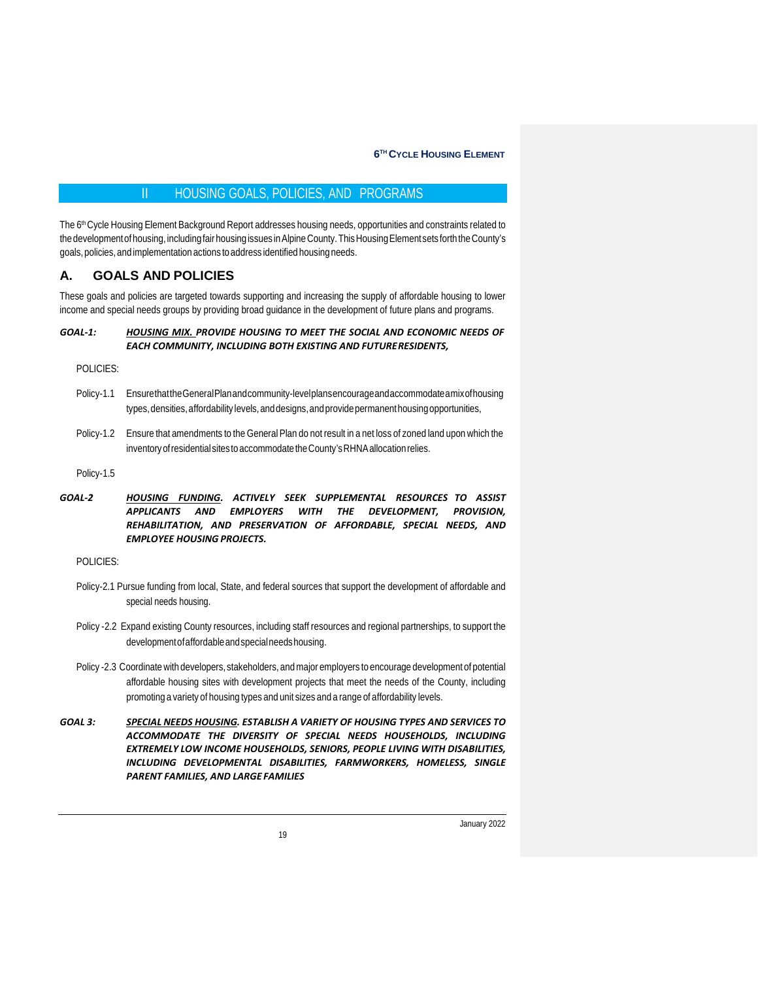### II HOUSING GOALS, POLICIES, AND PROGRAMS

The 6<sup>th</sup> Cycle Housing Element Background Report addresses housing needs, opportunities and constraints related to the development of housing, including fair housing issues in Alpine County. This Housing Element sets forth the County's goals,policies,and implementation actions to address identified housing needs.

#### **A. GOALS AND POLICIES**

These goals and policies are targeted towards supporting and increasing the supply of affordable housing to lower income and special needs groups by providing broad guidance in the development of future plans and programs.

#### *GOAL-1: HOUSING MIX. PROVIDE HOUSING TO MEET THE SOCIAL AND ECONOMIC NEEDS OF EACH COMMUNITY, INCLUDING BOTH EXISTING AND FUTURERESIDENTS,*

POLICIES:

- Policy-1.1 EnsurethattheGeneralPlanandcommunity-levelplansencourageandaccommodateamixofhousing types, densities, affordability levels, and designs, and provide permanent housing opportunities,
- Policy-1.2 Ensure that amendments to theGeneral Plan do not result in a net loss of zoned land upon which the inventoryofresidentialsitesto accommodatetheCounty'sRHNAallocationrelies.

Policy-1.5

*GOAL-2 HOUSING FUNDING. ACTIVELY SEEK SUPPLEMENTAL RESOURCES TO ASSIST APPLICANTS AND EMPLOYERS WITH THE DEVELOPMENT, PROVISION, REHABILITATION, AND PRESERVATION OF AFFORDABLE, SPECIAL NEEDS, AND EMPLOYEE HOUSING PROJECTS.*

POLICIES:

- Policy-2.1 Pursue funding from local, State, and federal sources that support the development of affordable and special needs housing.
- Policy -2.2 Expand existing County resources, including staff resources and regional partnerships, to support the developmentofaffordableandspecialneedshousing.
- Policy -2.3 Coordinatewith developers, stakeholders, andmajor employers to encourage development of potential affordable housing sites with development projects that meet the needs of the County, including promoting a variety of housing types and unit sizes and a range of affordability levels.
- *GOAL 3: SPECIAL NEEDS HOUSING. ESTABLISH A VARIETY OF HOUSING TYPES AND SERVICES TO ACCOMMODATE THE DIVERSITY OF SPECIAL NEEDS HOUSEHOLDS, INCLUDING EXTREMELY LOW INCOME HOUSEHOLDS, SENIORS, PEOPLE LIVING WITH DISABILITIES, INCLUDING DEVELOPMENTAL DISABILITIES, FARMWORKERS, HOMELESS, SINGLE PARENT FAMILIES, AND LARGE FAMILIES*

19

January 2022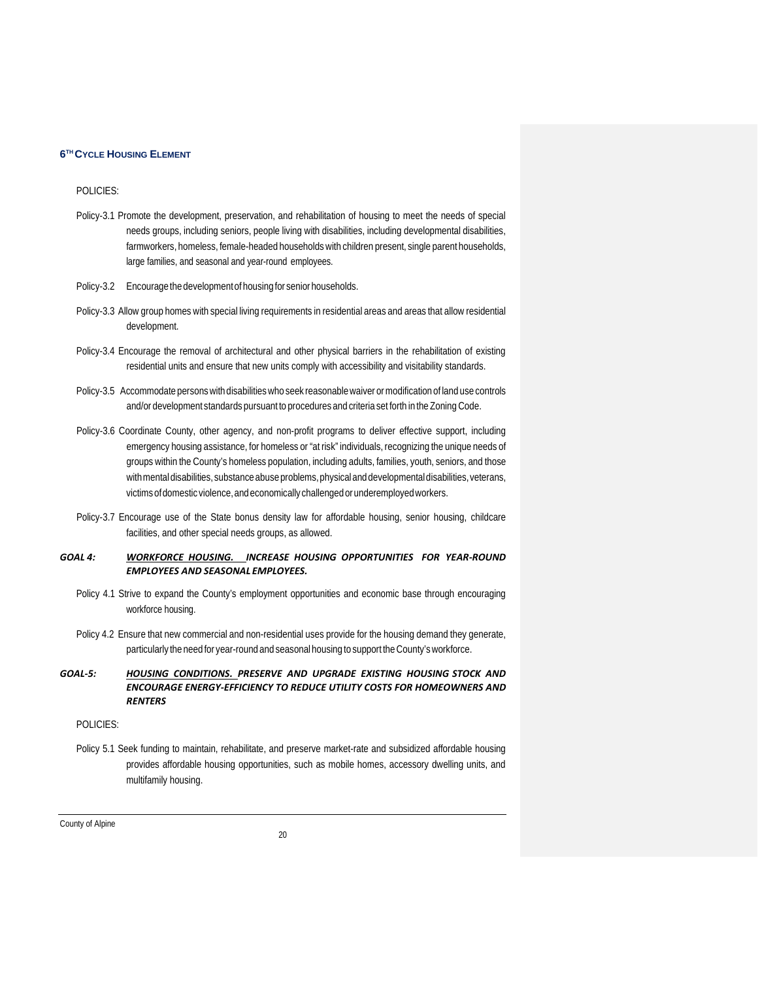#### POLICIES:

- Policy-3.1 Promote the development, preservation, and rehabilitation of housing to meet the needs of special needs groups, including seniors, people living with disabilities, including developmental disabilities, farmworkers, homeless, female-headed households with children present, single parent households, large families, and seasonal and year-round employees.
- Policy-3.2 Encourage the developmentof housing for senior households.
- Policy-3.3 Allow group homes with special living requirements in residential areas and areas that allow residential development.
- Policy-3.4 Encourage the removal of architectural and other physical barriers in the rehabilitation of existing residential units and ensure that new units comply with accessibility and visitability standards.
- Policy-3.5 Accommodate personswith disabilitieswho seek reasonablewaiver ormodification of land use controls and/or development standards pursuant to procedures and criteria set forth in the Zoning Code.
- Policy-3.6 Coordinate County, other agency, and non-profit programs to deliver effective support, including emergency housing assistance, for homeless or "at risk" individuals, recognizing the unique needs of groups within the County's homeless population, including adults, families, youth, seniors, and those with mental disabilities, substance abuse problems, physical and developmental disabilities, veterans, victims of domestic violence, and economically challenged or underemployed workers.
- Policy-3.7 Encourage use of the State bonus density law for affordable housing, senior housing, childcare facilities, and other special needs groups, as allowed.

#### *GOAL 4: WORKFORCE HOUSING. INCREASE HOUSING OPPORTUNITIES FOR YEAR-ROUND EMPLOYEES AND SEASONAL EMPLOYEES.*

- Policy 4.1 Strive to expand the County's employment opportunities and economic base through encouraging workforce housing.
- Policy 4.2 Ensure that new commercial and non-residential uses provide for the housing demand they generate, particularly the need for year-round and seasonal housing to support theCounty'sworkforce.

#### *GOAL-5: HOUSING CONDITIONS. PRESERVE AND UPGRADE EXISTING HOUSING STOCK AND ENCOURAGE ENERGY-EFFICIENCY TO REDUCE UTILITY COSTS FOR HOMEOWNERS AND RENTERS*

#### POLICIES:

Policy 5.1 Seek funding to maintain, rehabilitate, and preserve market-rate and subsidized affordable housing provides affordable housing opportunities, such as mobile homes, accessory dwelling units, and multifamily housing.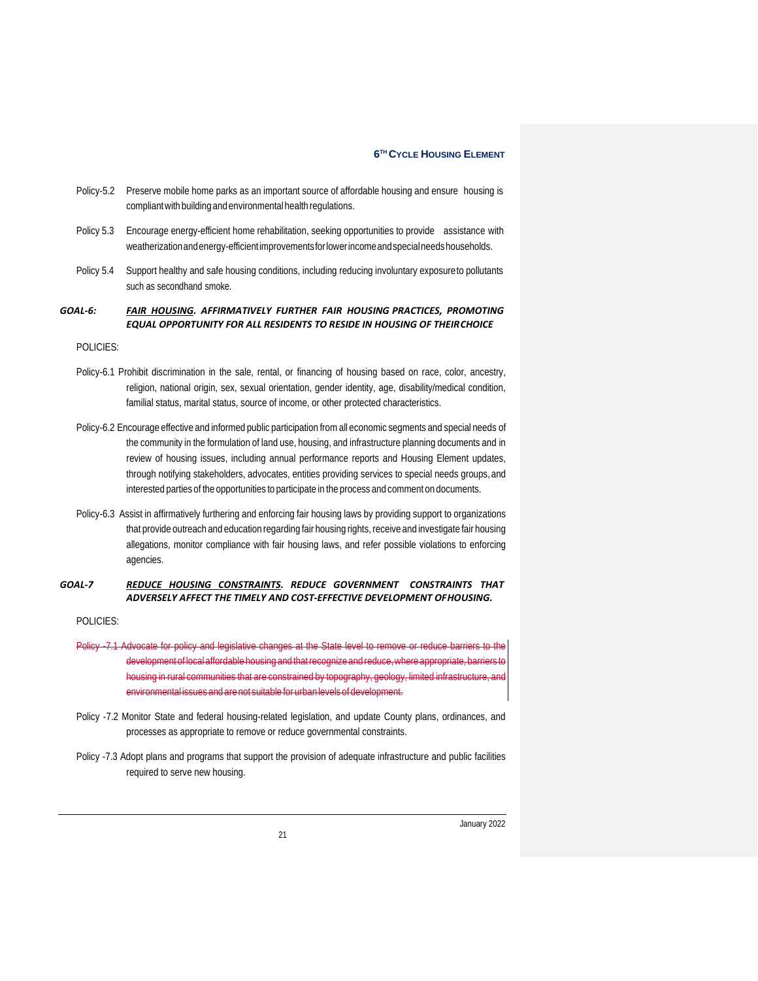- Policy-5.2 Preserve mobile home parks as an important source of affordable housing and ensure housing is compliant with building and environmental health regulations.
- Policy 5.3 Encourage energy-efficient home rehabilitation, seeking opportunities to provide assistance with weatherizationandenergy-efficientimprovementsforlowerincomeandspecialneedshouseholds.
- Policy 5.4 Support healthy and safe housing conditions, including reducing involuntary exposureto pollutants such as secondhand smoke.

#### *GOAL-6: FAIR HOUSING. AFFIRMATIVELY FURTHER FAIR HOUSING PRACTICES, PROMOTING EQUAL OPPORTUNITY FOR ALL RESIDENTS TO RESIDE IN HOUSING OF THEIRCHOICE*

#### POLICIES:

- Policy-6.1 Prohibit discrimination in the sale, rental, or financing of housing based on race, color, ancestry, religion, national origin, sex, sexual orientation, gender identity, age, disability/medical condition, familial status, marital status, source of income, or other protected characteristics.
- Policy-6.2 Encourage effective and informed public participation fromall economic segments and special needs of the community in the formulation of land use, housing, and infrastructure planning documents and in review of housing issues, including annual performance reports and Housing Element updates, through notifying stakeholders, advocates, entities providing services to special needs groups, and interested parties of the opportunities to participate in the process and comment on documents.
- Policy-6.3 Assist in affirmatively furthering and enforcing fair housing laws by providing support to organizations that provide outreach and education regarding fair housing rights, receive and investigate fair housing allegations, monitor compliance with fair housing laws, and refer possible violations to enforcing agencies.

#### *GOAL-7 REDUCE HOUSING CONSTRAINTS. REDUCE GOVERNMENT CONSTRAINTS THAT ADVERSELY AFFECT THE TIMELY AND COST-EFFECTIVE DEVELOPMENT OFHOUSING.*

POLICIES:

- Policy -7.1 Advocate for policy and legislative changes at the State level to remove or reduce barriers to the development of local affordable housing and that recognize and reduce, where appropriate, barrie housing in rural communities that are constrained by topography, geology, limited infrastructure environmental issues and are not suitable for urban levels of development.
- Policy -7.2 Monitor State and federal housing-related legislation, and update County plans, ordinances, and processes as appropriate to remove or reduce governmental constraints.
- Policy -7.3 Adopt plans and programs that support the provision of adequate infrastructure and public facilities required to serve new housing.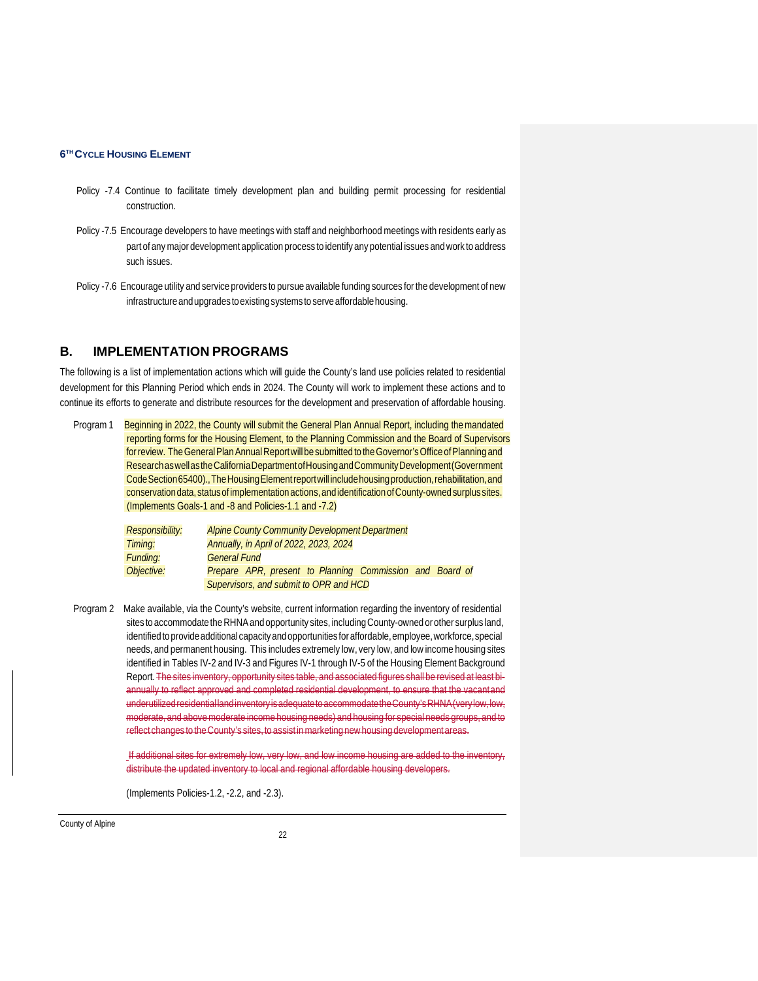- Policy -7.4 Continue to facilitate timely development plan and building permit processing for residential construction.
- Policy -7.5 Encourage developers to have meetings with staff and neighborhood meetings with residents early as part of anymajor development application process to identify any potential issues andwork to address such issues.
- Policy -7.6 Encourage utility and service providers to pursue available funding sources for the development of new infrastructure and upgrades to existing systems to serve affordable housing.

#### **B. IMPLEMENTATION PROGRAMS**

The following is a list of implementation actions which will guide the County's land use policies related to residential development for this Planning Period which ends in 2024. The County will work to implement these actions and to continue its efforts to generate and distribute resources for the development and preservation of affordable housing.

Program 1 Beginning in 2022, the County will submit the General Plan Annual Report, including the mandated reporting forms for the Housing Element, to the Planning Commission and the Board of Supervisors for review. The General Plan Annual Report will be submitted to the Governor's Office of Planning and ResearchaswellastheCaliforniaDepartmentofHousingandCommunityDevelopment(Government Code Section 65400)., The Housing Elementreportwill include housing production, rehabilitation, and conservation data, status of implementation actions, and identification of County-owned surplus sites. (Implements Goals-1 and -8 and Policies-1.1 and -7.2)

| <b>Responsibility:</b> | <b>Alpine County Community Development Department</b>    |  |  |  |  |
|------------------------|----------------------------------------------------------|--|--|--|--|
| Timing:                | Annually, in April of 2022, 2023, 2024                   |  |  |  |  |
| Funding:               | <b>General Fund</b>                                      |  |  |  |  |
| Objective:             | Prepare APR, present to Planning Commission and Board of |  |  |  |  |
|                        | Supervisors, and submit to OPR and HCD                   |  |  |  |  |

Program 2 Make available, via the County's website, current information regarding the inventory of residential sites to accommodate the RHNA and opportunity sites, including County-owned or other surplus land, identified to provide additional capacity and opportunities for affordable, employee, workforce, special needs, and permanent housing. This includes extremely low, very low, and low income housing sites identified in Tables IV-2 and IV-3 and Figures IV-1 through IV-5 of the Housing Element Background Report. The sites inventory, opportunity sites table, and associated figures shall be revised at least biannually to reflect approved and completed residential development, to ensure that the vacantand underutilizedresidentiallandinventoryisadequatetoaccommodatetheCounty'sRHNA(verylow,low, moderate, and abovemoderate income housing needs) and housing for special needs groups, and to reflect changes to the County's sites, to assist in marketing new housing development areas.

> If additional sites for extremely low, very low, and low income housing are added to the inventory, distribute the updated inventory to local and regional affordable housing developers.

(Implements Policies-1.2, -2.2, and -2.3).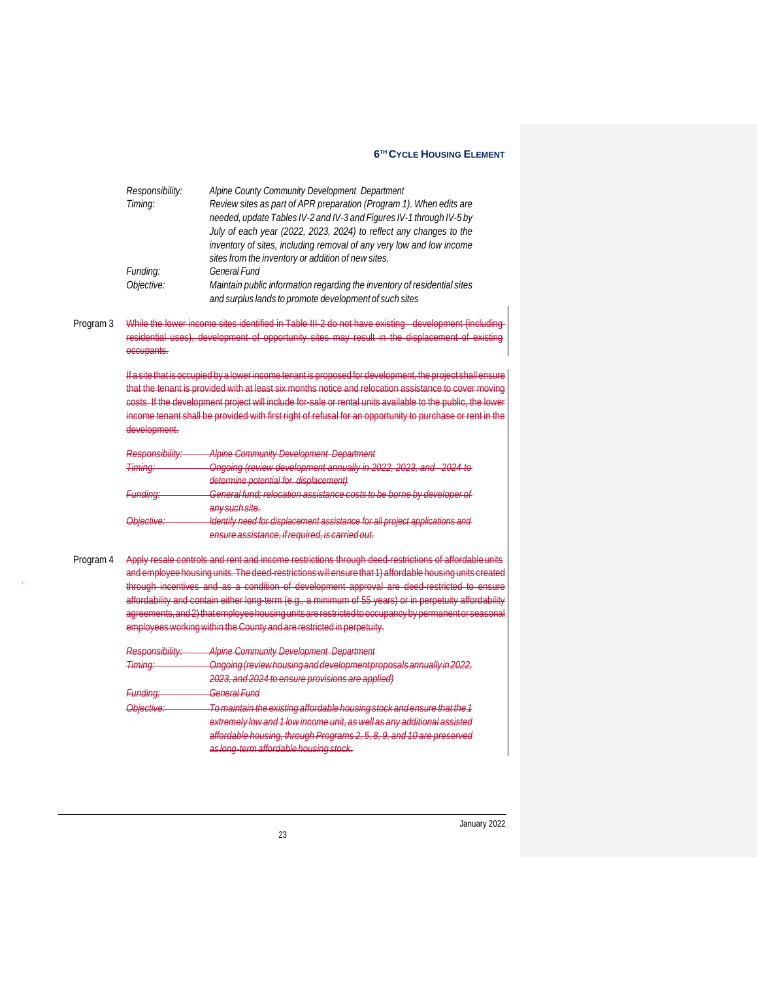| Responsibility: | Alpine County Community Development Department                                                                                     |
|-----------------|------------------------------------------------------------------------------------------------------------------------------------|
| Timing:         | Review sites as part of APR preparation (Program 1). When edits are                                                                |
|                 | needed, update Tables IV-2 and IV-3 and Figures IV-1 through IV-5 by                                                               |
|                 | July of each year (2022, 2023, 2024) to reflect any changes to the                                                                 |
|                 | inventory of sites, including removal of any very low and low income                                                               |
|                 | sites from the inventory or addition of new sites.                                                                                 |
| Funding:        | <b>General Fund</b>                                                                                                                |
| Objective:      | Maintain public information regarding the inventory of residential sites<br>and surplus lands to promote development of such sites |

Program 3 While the lower income sites identified in Table III-2 do not have existing development (including residential uses), development of opportunity sites may result in the displacement of existing occupants.

> If a site that is occupied by a lowerincome tenant is proposed for development, the project shallensure that the tenant is provided with at least six months notice and relocation assistance to cover moving costs. If the development project will include for sale or rental units available to the public, the lower income tenant shall be provided with first right of refusal for an opportunity to purchase or rent in the development.

| Responsibility:    | <b>Alpine Community Development Department</b>                             |
|--------------------|----------------------------------------------------------------------------|
| <del>Timing:</del> | Ongoing (review development annually in 2022, 2023, and 2024 to            |
|                    | determine potential for displacement)                                      |
| Funding:           | General fund; relocation assistance costs to be borne by developer of      |
|                    | any such site.                                                             |
| Objective:-        | Identify need for displacement assistance for all project applications and |
|                    | ensure assistance, if required, is carried out.                            |

Program 4 Apply resale controls and rent and income restrictions through deed-restrictions of affordableunits . and employee housing units. The deed-restrictionswillensure that 1) affordable housing units created through incentives and as a condition of development approval are deed-restricted to ensure affordability and contain either long-term (e.g., a minimum of 55 years) or in perpetuity affordability agreements,and2)thatemployeehousingunitsarerestrictedtooccupancybypermanentor seasonal employeesworkingwithin theCounty and are restricted in perpetuity.

| $D_{\alpha}$ cnoncibility<br><b>TYUJUUTIJIUIIILY.</b> | <b>Alpine Community Development Department</b>                                                 |
|-------------------------------------------------------|------------------------------------------------------------------------------------------------|
| Timina.<br>, ,,,,,,,,,,,                              | Opaoina (roviow housing and dovelopment proposals annually in 2022<br><del>ongonig pov</del> i |
|                                                       | 2023, and 2024 to ensure provisions are applied)                                               |
| Eundina:<br><del>rumana</del> .                       | Conoral Eund                                                                                   |
| $Ohinchi \circ$                                       | To maintain the evicting affordable housing stock and ensure that the 1                        |
|                                                       | extremely low and 1 low income unit, as well as any additional assisted                        |
|                                                       | affordable bousing through Programs 2.5, 8, 9, and 10 are prosented                            |
|                                                       | as long-tarm affordable housing stock                                                          |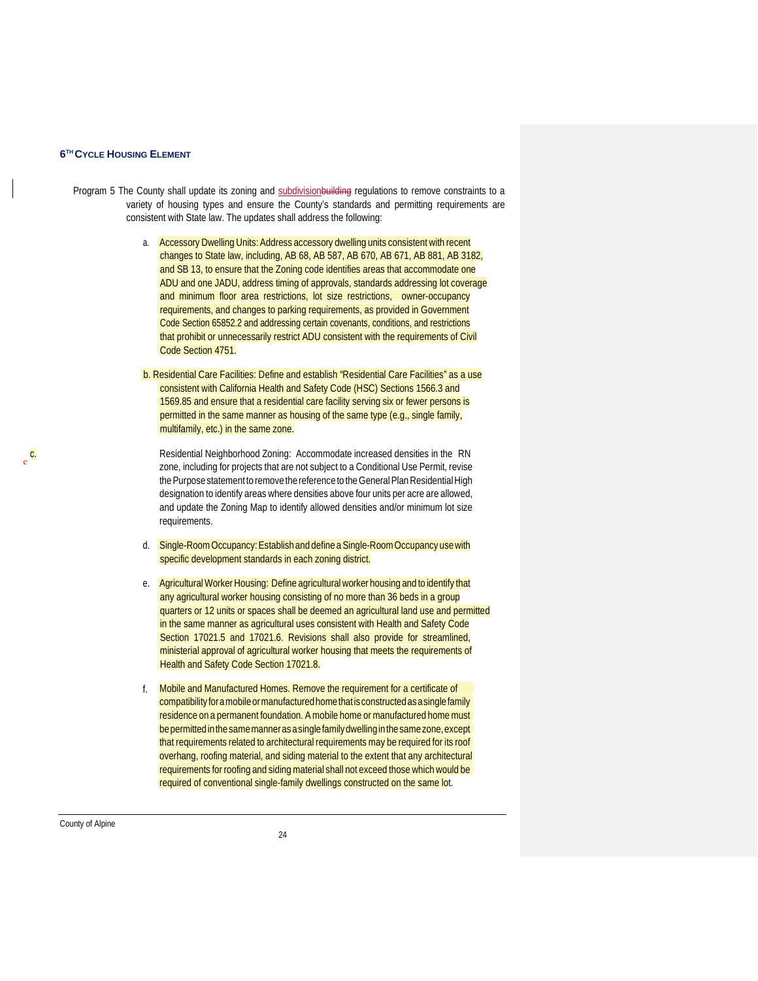- Program 5 The County shall update its zoning and subdivision building regulations to remove constraints to a variety of housing types and ensure the County's standards and permitting requirements are consistent with State law. The updates shall address the following:
	- a. Accessory Dwelling Units: Address accessory dwelling units consistent with recent changes to State law, including, AB 68, AB 587, AB 670, AB 671, AB 881, AB 3182, and SB 13, to ensure that the Zoning code identifies areas that accommodate one ADU and one JADU, address timing of approvals, standards addressing lot coverage and minimum floor area restrictions, lot size restrictions, owner-occupancy requirements, and changes to parking requirements, as provided in Government Code Section 65852.2 and addressing certain covenants, conditions, and restrictions that prohibit or unnecessarily restrict ADU consistent with the requirements of Civil Code Section 4751.
	- b. Residential Care Facilities: Define and establish "Residential Care Facilities" as a use consistent with California Health and Safety Code (HSC) Sections 1566.3 and 1569.85 and ensure that a residential care facility serving six or fewer persons is permitted in the same manner as housing of the same type (e.g., single family, multifamily, etc.) in the same zone.

c. Residential Neighborhood Zoning: Accommodate increased densities in the RN zone, including for projects that are not subject to a Conditional Use Permit, revise the Purpose statement to remove the reference to the General Plan Residential High designation to identify areas where densities above four units per acre are allowed, and update the Zoning Map to identify allowed densities and/or minimum lot size requirements.

- d. Single-RoomOccupancy:Establish and define a Single-RoomOccupancy usewith specific development standards in each zoning district.
- e. Agricultural Worker Housing: Define agricultural worker housing and to identify that any agricultural worker housing consisting of no more than 36 beds in a group quarters or 12 units or spaces shall be deemed an agricultural land use and permitted in the same manner as agricultural uses consistent with Health and Safety Code Section 17021.5 and 17021.6. Revisions shall also provide for streamlined, ministerial approval of agricultural worker housing that meets the requirements of Health and Safety Code Section 17021.8.
- f. Mobile and Manufactured Homes. Remove the requirement for a certificate of compatibility for a mobile or manufactured home that is constructed as a single family residence on a permanent foundation. A mobile home or manufactured home must be permitted in the same manner as a single family dwelling in the same zone, except that requirements related to architectural requirements may be required for its roof overhang, roofing material, and siding material to the extent that any architectural required of conventional single-family dwellings constructed on the same lot. requirements for roofing and siding material shall not exceed those which would be

County of Alpine

e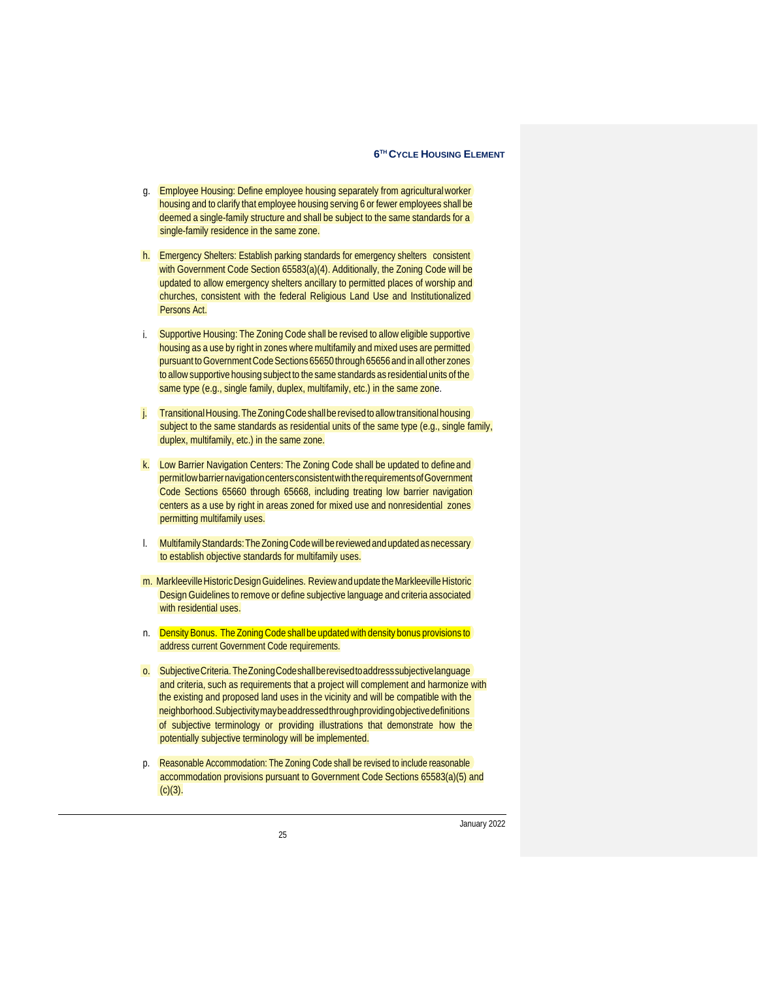- g. Employee Housing: Define employee housing separately from agriculturalworker housing and to clarify that employee housing serving 6 or fewer employees shall be deemed a single-family structure and shall be subject to the same standards for a single-family residence in the same zone.
- h. Emergency Shelters: Establish parking standards for emergency shelters consistent with Government Code Section 65583(a)(4). Additionally, the Zoning Code will be updated to allow emergency shelters ancillary to permitted places of worship and churches, consistent with the federal Religious Land Use and Institutionalized Persons Act.
- i. Supportive Housing: The Zoning Code shall be revised to allow eligible supportive housing as a use by right in zones where multifamily and mixed uses are permitted pursuant to Government Code Sections 65650 through 65656 and in all other zones same type (e.g., single family, duplex, multifamily, etc.) in the same zone. to allowsupportive housing subject to the same standards as residential units of the
- j. Transitional Housing. The Zoning Code shall be revised to allow transitional housing subject to the same standards as residential units of the same type (e.g., single family, duplex, multifamily, etc.) in the same zone.
- k. Low Barrier Navigation Centers: The Zoning Code shall be updated to defineand permitlowbarriernavigationcentersconsistentwiththerequirementsofGovernment Code Sections 65660 through 65668, including treating low barrier navigation centers as a use by right in areas zoned for mixed use and nonresidential zones permitting multifamily uses.
- l. Multifamily Standards: The Zoning Code will be reviewed and updated as necessary to establish objective standards for multifamily uses.
- m. MarkleevilleHistoricDesignGuidelines. Reviewandupdate theMarkleevilleHistoric Design Guidelines to remove or define subjective language and criteria associated with residential uses.
- n. **Density Bonus. The Zoning Code shall be updated with density bonus provisions to** address current Government Code requirements.
- o. SubjectiveCriteria. TheZoningCodeshallberevisedtoaddresssubjectivelanguage and criteria, such as requirements that a project will complement and harmonize with the existing and proposed land uses in the vicinity and will be compatible with the neighborhood.Subjectivitymaybeaddressedthroughprovidingobjectivedefinitions of subjective terminology or providing illustrations that demonstrate how the potentially subjective terminology will be implemented.
- p. Reasonable Accommodation: The Zoning Code shall be revised to include reasonable accommodation provisions pursuant to Government Code Sections 65583(a)(5) and  $(c)(3)$ .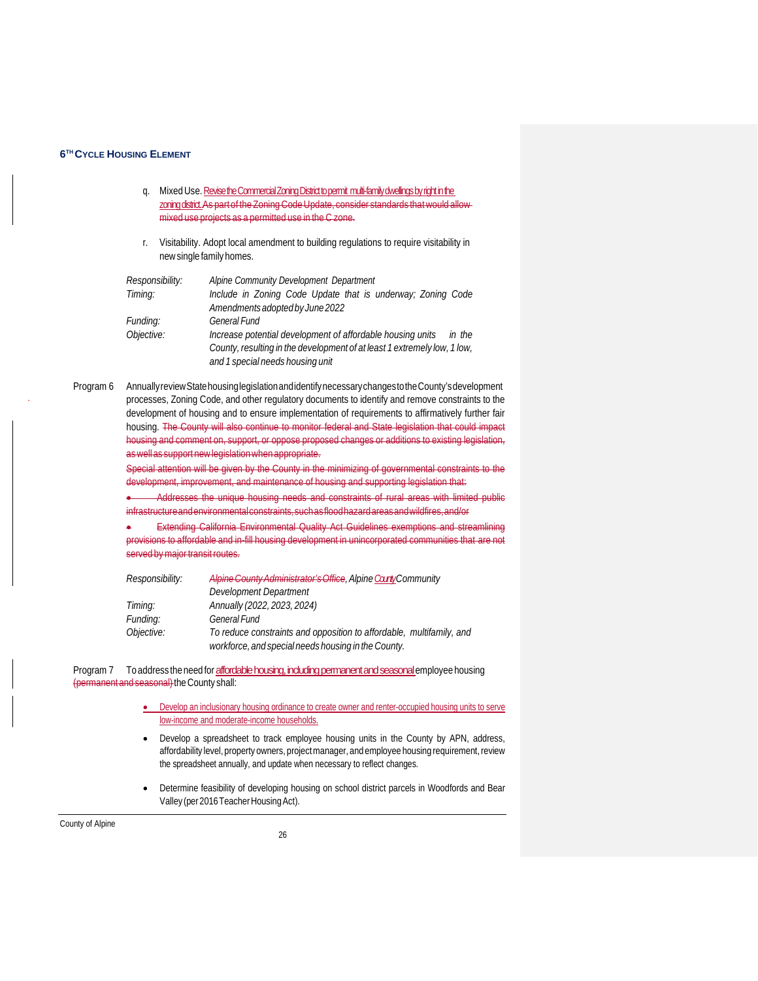- q. Mixed Use. Revise the Commercial Zoning District to permit multi-family dwellings by right in the zoning district. As part of the Zoning Code Update, consider standards that would allowmixed use projects as a permitted use in the C zone.
- r. Visitability. Adopt local amendment to building regulations to require visitability in newsingle family homes.

| Responsibility: | Alpine Community Development Department                                  |
|-----------------|--------------------------------------------------------------------------|
| Timing:         | Include in Zoning Code Update that is underway; Zoning Code              |
|                 | Amendments adopted by June 2022                                          |
| Funding:        | <b>General Fund</b>                                                      |
| Objective:      | Increase potential development of affordable housing units<br>in the     |
|                 | County, resulting in the development of at least 1 extremely low, 1 low, |
|                 | and 1 special needs housing unit                                         |

Program 6 Annuallyreview State housing legislation and identify necessary changes to the County's development . processes, Zoning Code, and other regulatory documents to identify and remove constraints to the development of housing and to ensure implementation of requirements to affirmatively further fair housing. The County will also continue to monitor federal and State legislation that could impact housing and comment on, support, or oppose proposed changes or additions to existing legislation, aswellas support newlegislationwhen appropriate.

> Special attention will be given by the County in the minimizing of governmental constraints to the development, improvement, and maintenance of housing and supporting legislation that:

> • Addresses the unique housing needs and constraints of rural areas with limited public infrastructureandenvironmentalconstraints,suchasfloodhazardareasandwildfires,and/or

> **Extending California Environmental Quality Act Guidelines exemptions and streamlining** provisions to affordable and in-fill housing development in unincorporated communities that are not served by major transit routes.

| Responsibility: | Alpine County Administrator's Office, Alpine County Community                                                               |
|-----------------|-----------------------------------------------------------------------------------------------------------------------------|
|                 | Development Department                                                                                                      |
| Timing:         | Annually (2022, 2023, 2024)                                                                                                 |
| Funding:        | <b>General Fund</b>                                                                                                         |
| Objective:      | To reduce constraints and opposition to affordable, multifamily, and<br>workforce, and special needs housing in the County. |

Program 7 To address the need for **affordable housing, including permanent and seasonal** employee housing (permanent and seasonal) the County shall:

- Develop an inclusionary housing ordinance to create owner and renter-occupied housing units to serve low-income and moderate-income households.
- Develop a spreadsheet to track employee housing units in the County by APN, address, affordability level, property owners, project manager, and employee housing requirement, review the spreadsheet annually, and update when necessary to reflect changes.
- Determine feasibility of developing housing on school district parcels in Woodfords and Bear Valley (per 2016 Teacher Housing Act).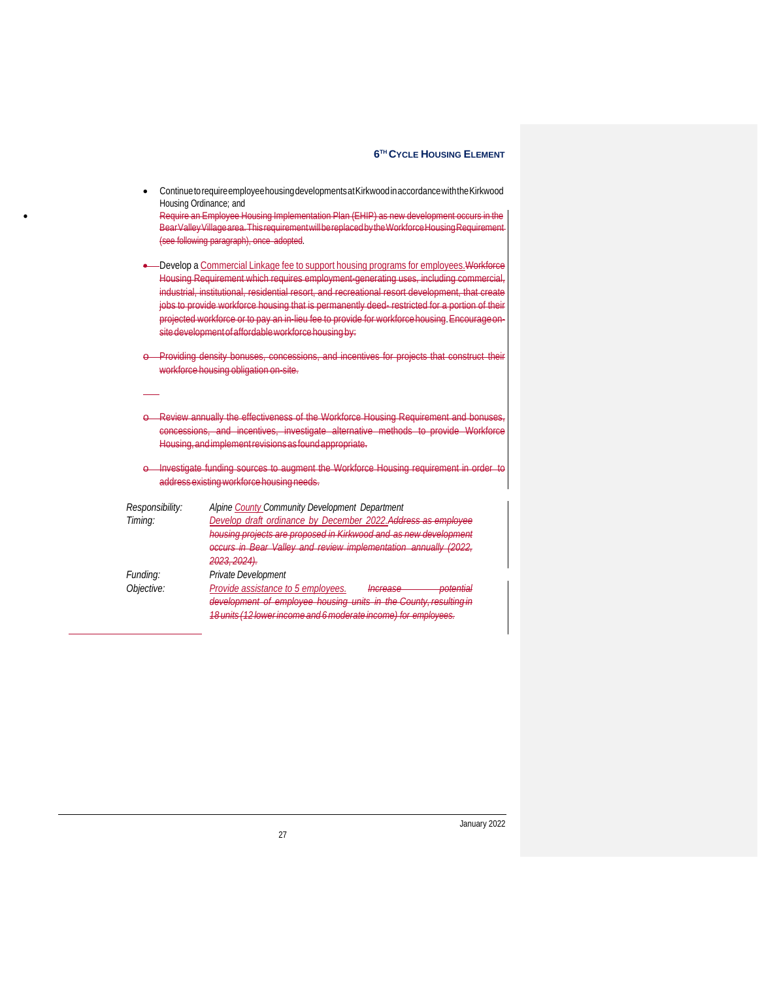| Housing Ordinance; and     | Continue to require employee housing developments at Kirkwood in accordance with the Kirkwood<br>Require an Employee Housing Implementation Plan (EHIP) as new development occurs in the<br>Bear Valley Village area. This requirement will be replaced by the Workforce Housing Requirement<br>(see following paragraph), once adopted.                                                                                                                                                                                                  |
|----------------------------|-------------------------------------------------------------------------------------------------------------------------------------------------------------------------------------------------------------------------------------------------------------------------------------------------------------------------------------------------------------------------------------------------------------------------------------------------------------------------------------------------------------------------------------------|
|                            | -Develop a Commercial Linkage fee to support housing programs for employees. Workforce<br>Housing Requirement which requires employment generating uses, including commercial,<br>industrial, institutional, residential resort, and recreational resort development, that create<br>jobs to provide workforce housing that is permanently deed restricted for a portion of their<br>projected workforce or to pay an in-lieu fee to provide for workforce housing. Encourage on-<br>site development of affordable workforce housing by: |
|                            | Providing density bonuses, concessions, and incentives for projects that construct their<br>workforce housing obligation on-site.                                                                                                                                                                                                                                                                                                                                                                                                         |
|                            | Review annually the effectiveness of the Workforce Housing Requirement and bonuses<br>concessions, and incentives, investigate alternative methods to provide Workforce<br>Housing, and implement revisions as found appropriate.                                                                                                                                                                                                                                                                                                         |
|                            | Investigate funding sources to augment the Workforce Housing requirement in order to<br>address existing workforce housing needs.                                                                                                                                                                                                                                                                                                                                                                                                         |
| Responsibility:<br>Timing: | Alpine County Community Development Department<br>Develop draft ordinance by December 2022. Address as employee<br>housing projects are proposed in Kirkwood and as new development<br>occurs in Bear Valley and review implementation annually<br>2023, 2024).                                                                                                                                                                                                                                                                           |
| Funding:<br>Objective:     | Private Development<br>Provide assistance to 5 employees.<br>potential<br>Increase<br>development of employee housing units in the County, resulting in<br>18 units (12 lower income and 6 moderate income) for employees.                                                                                                                                                                                                                                                                                                                |

January 2022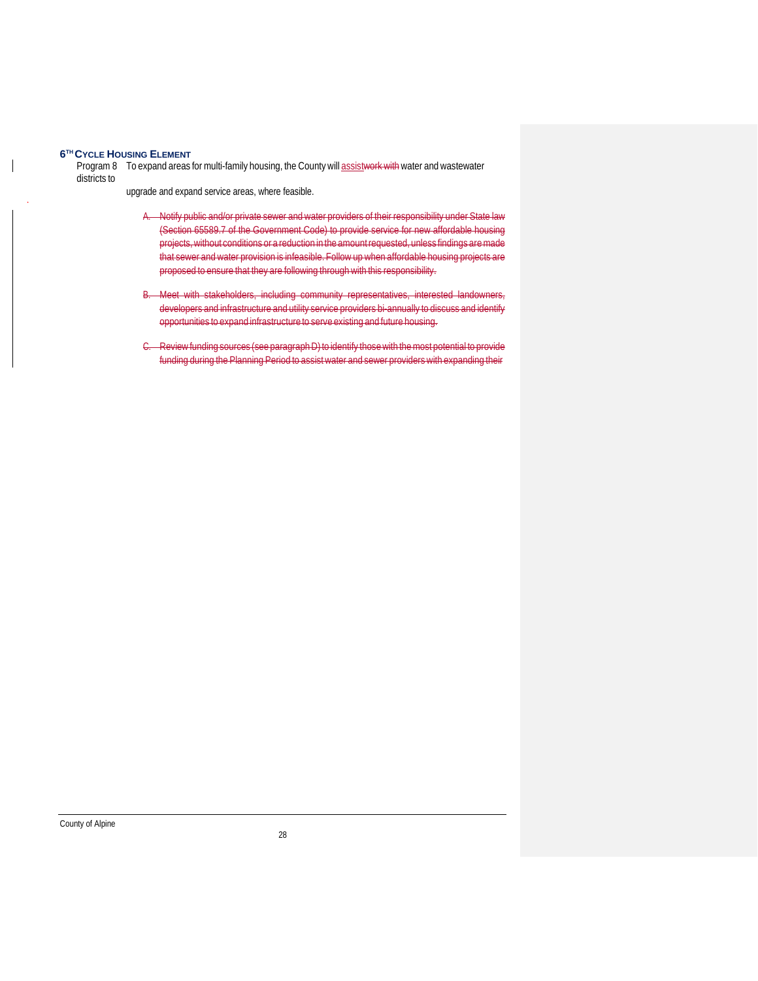Program 8 To expand areas for multi-family housing, the County will assistwork with water and wastewater districts to

. upgrade and expand service areas, where feasible.

- A. Notify public and/or private sewer and water providers of their responsibility under State law (Section 65589.7 of the Government Code) to provide service for new affordable housing projects,without conditions or a reduction in the amountrequested, unless findings aremade that sewer and water provision is infeasible. Follow up when affordable housing projects are proposed to ensure that they are following through with this responsibility.
- B. Meet with stakeholders, including community representatives, interested landowners, developers and infrastructure and utility service providers bi-annually to discuss and identify opportunities to expand infrastructure to serve existing and future housing.
- C. Review funding sources (see paragraph D) to identify those with the most potential to provide funding during the Planning Period to assistwater and sewer providers with expanding their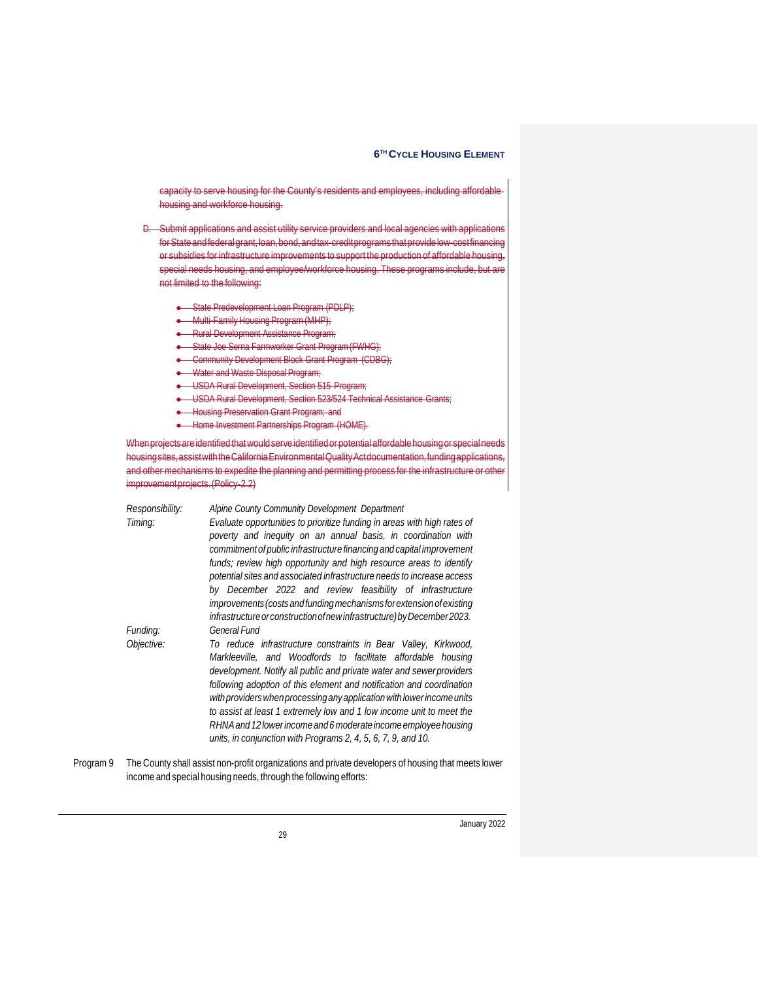capacity to serve housing for the County's residents and employees, including affordable housing and workforce housing.

- D. Submit applications and assist utility service providers and local agencies with applications forStateandfederalgrant,loan,bond,andtax-creditprogramsthatprovidelow-costfinancing or subsidies for infrastructure improvements to support the production of affordable housing, special needs housing, and employee/workforce housing. These programs include, but are not limited to the following:
	- State Predevelopment Loan Program (PDLP);
	- Multi-Family Housing Program (MHP);
	- Rural Development Assistance Program;
	- State Joe Serna Farmworker Grant Program (FWHG);
	- Community Development Block Grant Program (CDBG);
	- Water and Waste Disposal Program;
	- USDA Rural Development, Section 515 Program;
	- USDA Rural Development, Section 523/524 Technical Assistance Grants;
	- **Housing Preservation Grant Program; and**
	- Home Investment Partnerships Program (HOME).

Whenprojectsareidentified thatwouldserveidentifiedorpotentialaffordablehousingor specialneeds housing sites, assist with the California Environmental Quality Actdocumentation, funding applications and other mechanisms to expedite the planning and permitting process for the infrastructure or othe improvementprojects.(Policy-2.2)

| Responsibility: | Alpine County Community Development Department                                                                                                                                                                                                                                                                                                                                                                                                                                                                                                                                     |  |  |
|-----------------|------------------------------------------------------------------------------------------------------------------------------------------------------------------------------------------------------------------------------------------------------------------------------------------------------------------------------------------------------------------------------------------------------------------------------------------------------------------------------------------------------------------------------------------------------------------------------------|--|--|
| Timing:         | Evaluate opportunities to prioritize funding in areas with high rates of<br>poverty and inequity on an annual basis, in coordination with<br>commitment of public infrastructure financing and capital improvement<br>funds; review high opportunity and high resource areas to identify<br>potential sites and associated infrastructure needs to increase access<br>by December 2022 and review feasibility of infrastructure<br>improvements (costs and funding mechanisms for extension of existing<br>infrastructure or construction of new infrastructure) by December 2023. |  |  |
| Funding:        | General Fund                                                                                                                                                                                                                                                                                                                                                                                                                                                                                                                                                                       |  |  |
| Objective:      | To reduce infrastructure constraints in Bear Valley, Kirkwood,<br>Markleeville, and Woodfords to facilitate affordable housing<br>development. Notify all public and private water and sewer providers<br>following adoption of this element and notification and coordination<br>with providers when processing any application with lower income units<br>to assist at least 1 extremely low and 1 low income unit to meet the<br>RHNA and 12 lower income and 6 moderate income employee housing<br>units, in conjunction with Programs 2, 4, 5, 6, 7, 9, and 10.               |  |  |

Program 9 The County shall assist non-profit organizations and private developers of housing that meets lower income and special housing needs, through the following efforts:

January 2022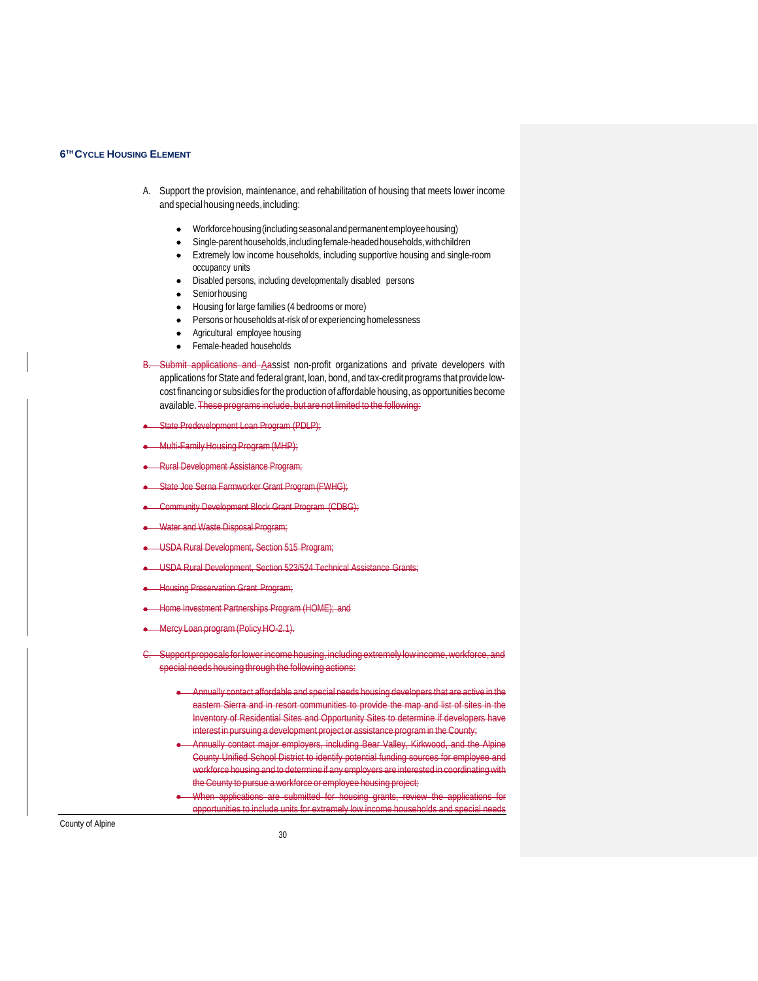- A. Support the provision, maintenance, and rehabilitation of housing that meets lower income and special housing needs, including:
	- Workforcehousing(includingseasonalandpermanentemployeehousing)
	- Single-parenthouseholds, including female-headed households, with children
	- Extremely low income households, including supportive housing and single-room occupancy units
	- Disabled persons, including developmentally disabled persons
	- Senior housing
	- Housing for large families (4 bedrooms ormore)
	- Persons or households at-risk of or experiencing homelessness
	- Agricultural employee housing
	- Female-headed households
- B. Submit applications and Aassist non-profit organizations and private developers with applications for State and federal grant, loan, bond, and tax-credit programs that provide lowcost financing or subsidies for the production of affordable housing, as opportunities become available. These programs include, but are not limited to the following:
- State Predevelopment Loan Program (PDLP);
- **Multi-Family Housing Program (MHP):**
- Rural Development Assistance Program;
- State Joe Serna Farmworker Grant Program(FWHG);
- Community Development Block Grant Program (CDBG);
- Water and Waste Disposal Program;
- USDA Rural Development, Section 515 Program;
- USDA Rural Development, Section 523/524 Technical Assistance Grants;
- Housing Preservation Grant Program;
- me Investment Partnerships Program (HOME); and
- Mercy Loan program(PolicyHO-2.1).
- Support proposals for lower income housing, including extremely low income, workforce, and special needs housing through the following actions:
	- Annually contact affordable and special needs housing developers that are active in the eastern Sierra and in resort communities to provide the map and list of sites in the Inventory of Residential Sites and Opportunity Sites to determine if developers have interest in pursuing a development project or assistance program in the County;
	- Annually contact major employers, including Bear Valley, Kirkwood, and the Alpine County Unified School District to identify potential funding sources for employee and workforce housing and to determine if any employers are interested in coordinatingwith the County to pursue a workforce or employee housing project;
	- When applications are submitted for housing grants, review the applications for opportunities to include units for extremely low income households and special needs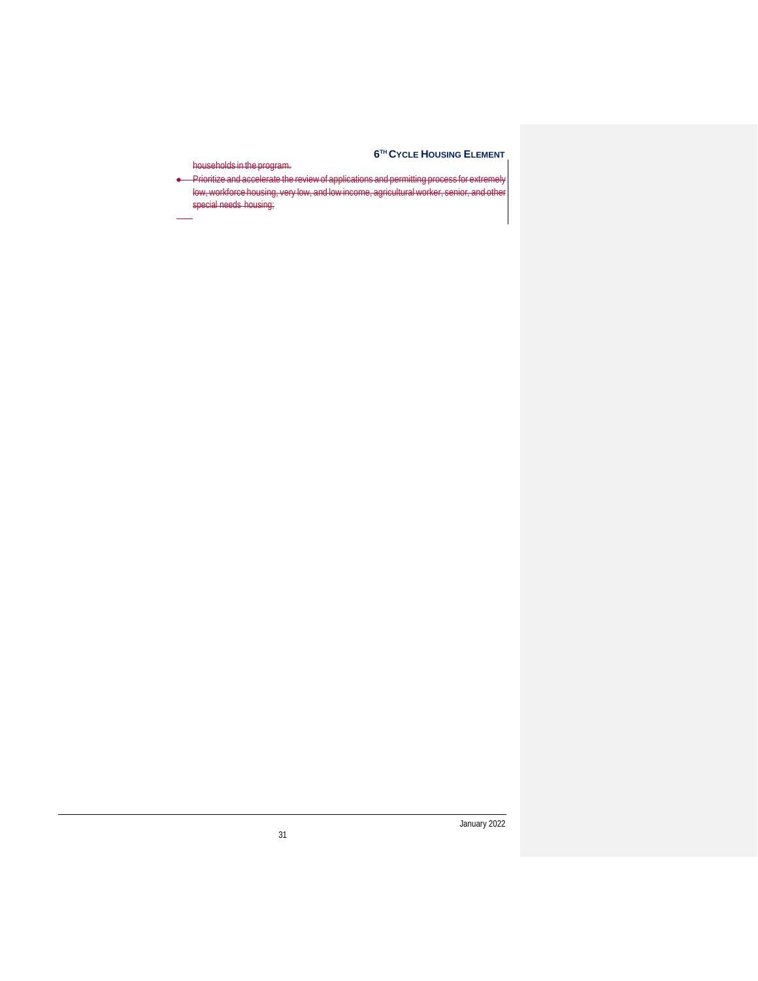households in the program. • Prioritize and accelerate the reviewof applications and permitting process for extremely

low, workforce housing, very low, and low income, agricultural worker, special needs housing;

January 2022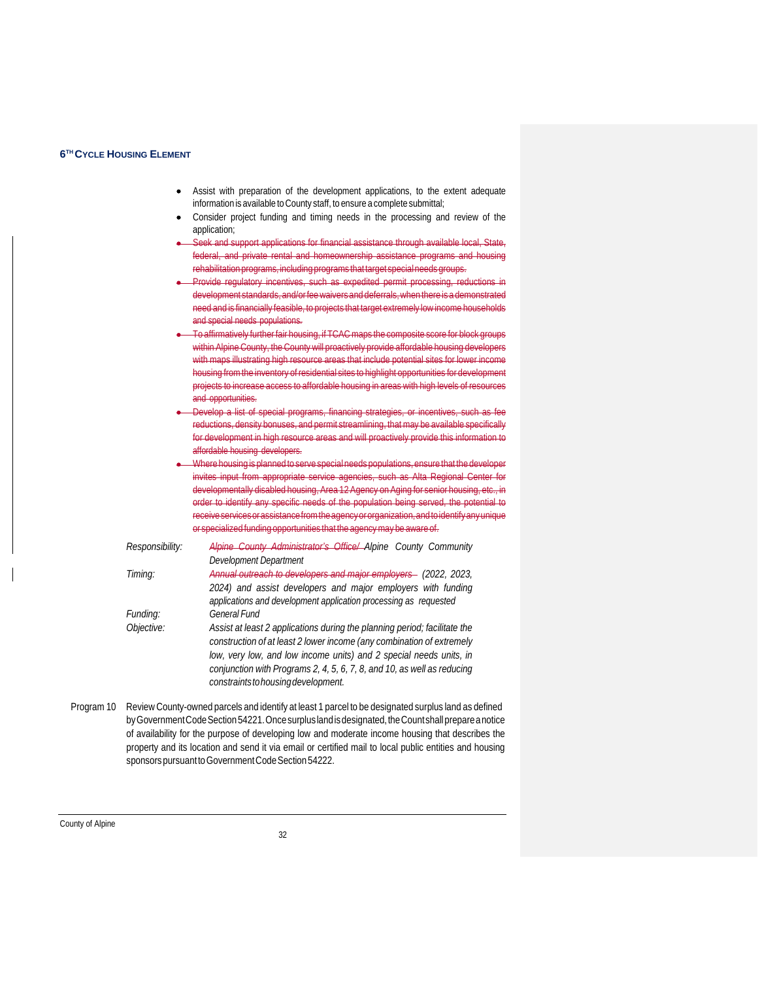- Assist with preparation of the development applications, to the extent adequate information is available to County staff, to ensure a complete submittal;
- Consider project funding and timing needs in the processing and review of the application;
- ek and support applications for financial assistance through available local, State, federal, and private rental and homeownership assistance programs and housing rehabilitation programs, including programs that target special needs groups.
- Provide regulatory incentives, such as expedited permit processing, reduct development standards, and/orfeewaiversand deferrals,when there is a demonstrated need and is financially feasible, to projects that target extremely lowincome households and special needs populations.
- To affirmatively further fair housing, if TCACmaps the composite score for block groups within Alpine County, the County will proactively provide affordable housing developers with maps illustrating high resource areas that include potential sites for lower income housing fromthe inventory of residential sites to highlight opportunities for development projects to increase access to affordable housing in areas with high levels of resources and opportunities.
- Develop a list of special programs, financing strategies, or incentives, such as fee reductions, density bonuses, and permit streamlining, thatmay be available specifically for development in high resource areas and will proactively provide this information to affordable housing developers.
- Where housing is planned to serve special needs populations, ensure that the developer invites input from appropriate service agencies, such as Alta Regional Center for developmentally disabled housing, Area 12 Agency on Aging for senior housing, etc., in order to identify any specific needs of the population being served, the potential to receive services or assistance from the agency or organization, and to identify any unique or specialized funding opportunities that the agencymay be aware of.
- *Responsibility: Alpine County Administrator's Office/ Alpine County Community Development Department Timing: Annual outreach to developers and major employers (2022, 2023, 2024) and assist developers and major employers with funding applications and development application processing as requested Funding: General Fund Objective: Assist at least 2 applications during the planning period; facilitate the construction of at least 2 lower income (any combination of extremely low, very low, and low income units) and 2 special needs units, in conjunction with Programs 2, 4, 5, 6, 7, 8, and 10, as well as reducing constraintstohousingdevelopment.*
- Program 10 ReviewCounty-owned parcels and identify at least 1 parcel to be designated surplus land as defined by Government Code Section 54221. Once surplus land is designated, the Count shall prepare a notice of availability for the purpose of developing low and moderate income housing that describes the property and its location and send it via email or certified mail to local public entities and housing sponsors pursuant to Government Code Section 54222.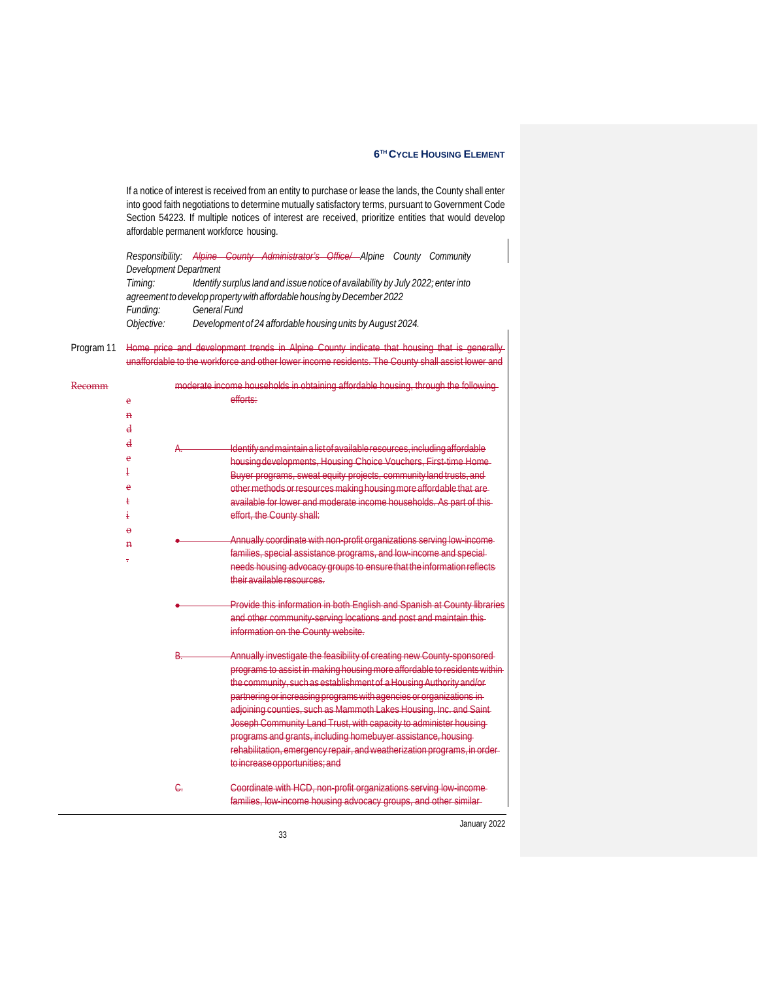If a notice of interest is received from an entity to purchase or lease the lands, the County shall enter into good faith negotiations to determine mutually satisfactory terms, pursuant to Government Code Section 54223. If multiple notices of interest are received, prioritize entities that would develop affordable permanent workforce housing.

*Responsibility: Alpine County Administrator's Office/ Alpine County Community Development Department*

*Timing: Identify surplus land and issue notice of availability by July 2022; enter into agreementto develop propertywith affordable housing byDecember 2022 Funding: General Fund Objective: Development of 24 affordable housing units by August 2024.*

Program 11 Home price and development trends in Alpine County indicate that housing that unaffordable to the

| <del>Kecomm</del> |   | moderate income households in obtaining affordable housing, through the following |
|-------------------|---|-----------------------------------------------------------------------------------|
|                   | e | efforts:                                                                          |
|                   | n |                                                                                   |
|                   | d |                                                                                   |
|                   | d | Identify and maintain a list of available resources, including affordable         |
|                   | è | housing developments, Housing Choice Vouchers, First-time Home-                   |
|                   |   | Buyer programs, sweat equity projects, community land trusts, and                 |
|                   | è | other methods or resources making housing more affordable that are-               |
|                   |   | available for lower and moderate income households. As part of this               |
|                   |   | effort, the County shall:                                                         |
|                   | θ |                                                                                   |
|                   | n | Annually coordinate with non-profit organizations serving low-income-             |
|                   |   | families, special assistance programs, and low-income and special-                |
|                   |   | needs housing advocacy groups to ensure that the information reflects             |
|                   |   | their available resources.                                                        |
|                   |   | Provide this information in both English and Spanish at County libraries          |
|                   |   | and other community serving locations and post and maintain this-                 |
|                   |   | information on the County website.                                                |
|                   |   | Annually investigate the feasibility of creating new County-sponsored-            |
|                   |   | programs to assist in making housing more affordable to residents within-         |
|                   |   | the community, such as establishment of a Housing Authority and/or-               |
|                   |   | partnering or increasing programs with agencies or organizations in-              |
|                   |   | adjoining counties, such as Mammoth Lakes Housing, Inc. and Saint-                |
|                   |   | Joseph Community Land Trust, with capacity to administer housing-                 |
|                   |   | programs and grants, including homebuyer assistance, housing-                     |
|                   |   | rehabilitation, emergency repair, and weatherization programs, in order-          |
|                   |   | to increase opportunities; and                                                    |
|                   |   | Coordinate with HCD, non-profit organizations serving low-income-                 |
|                   |   | families, low income housing advocacy groups, and other similar-                  |

January 2022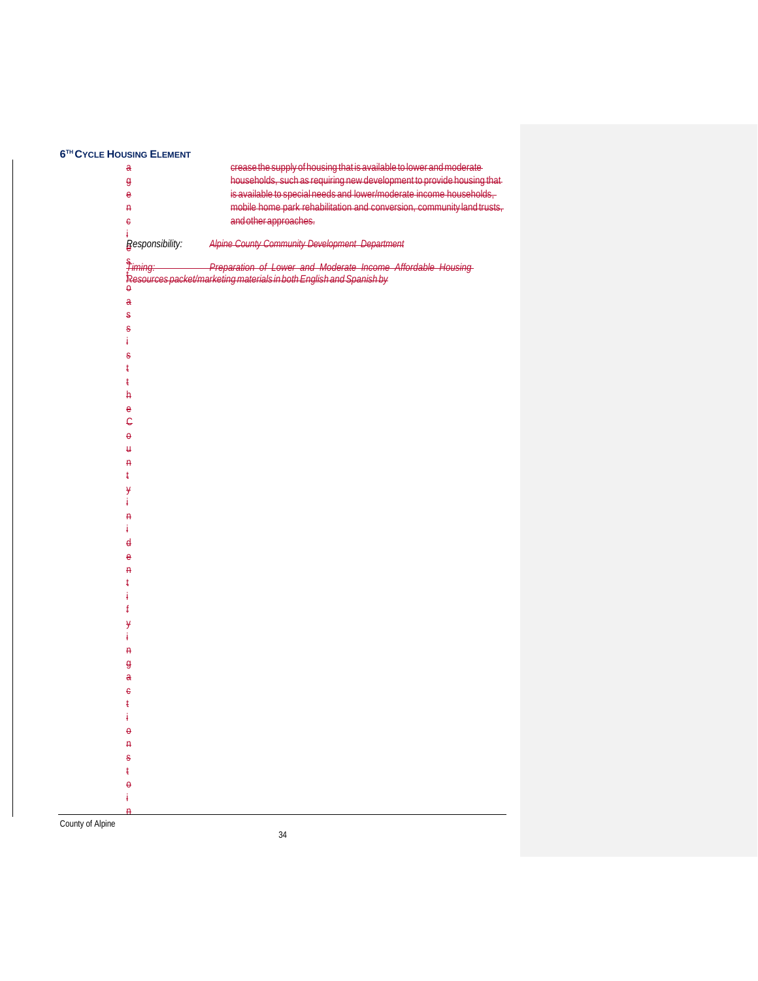| $\mathbf{a}$            | crease the supply of housing that is available to lower and moderate-  |
|-------------------------|------------------------------------------------------------------------|
| $\theta$                | households, such as requiring new development to provide housing that  |
| e                       | is available to special needs and lower/moderate income households,    |
| Ĥ                       | mobile home park rehabilitation and conversion, community land trusts, |
| $\epsilon$              | and other approaches.                                                  |
| ŧ                       |                                                                        |
| <b>Responsibility:</b>  | Alpine County Community Development Department                         |
| <del>s</del><br>Timing: | Preparation of Lower and Moderate Income Affordable Housing            |
|                         | Resources packet/marketing materials in both English and Spanish by    |
| θ                       |                                                                        |
| $\mathbf{a}$            |                                                                        |
| S                       |                                                                        |
| $\overline{\mathbf{s}}$ |                                                                        |
| ŧ                       |                                                                        |
| $\overline{\mathbf{s}}$ |                                                                        |
| ŧ                       |                                                                        |
| ŧ                       |                                                                        |
| ħ                       |                                                                        |
| e                       |                                                                        |
| Ĝ                       |                                                                        |
| $\theta$                |                                                                        |
| Н                       |                                                                        |
| Ą                       |                                                                        |
| ŧ                       |                                                                        |
| y                       |                                                                        |
| ŧ                       |                                                                        |
| Ĥ                       |                                                                        |
| ŧ                       |                                                                        |
| $\mathbf{d}$            |                                                                        |
| e                       |                                                                        |
| Ą                       |                                                                        |
| ŧ                       |                                                                        |
| ŧ                       |                                                                        |
| ŧ                       |                                                                        |
|                         |                                                                        |
| y                       |                                                                        |
| ŧ                       |                                                                        |
| Ą                       |                                                                        |
| g                       |                                                                        |
| a                       |                                                                        |
| $\epsilon$              |                                                                        |
| ŧ                       |                                                                        |
| ï                       |                                                                        |
| $\boldsymbol{\theta}$   |                                                                        |
| Ą                       |                                                                        |
| S                       |                                                                        |
| ŧ                       |                                                                        |
| $\theta$                |                                                                        |
| ŧ                       |                                                                        |
| Ä                       |                                                                        |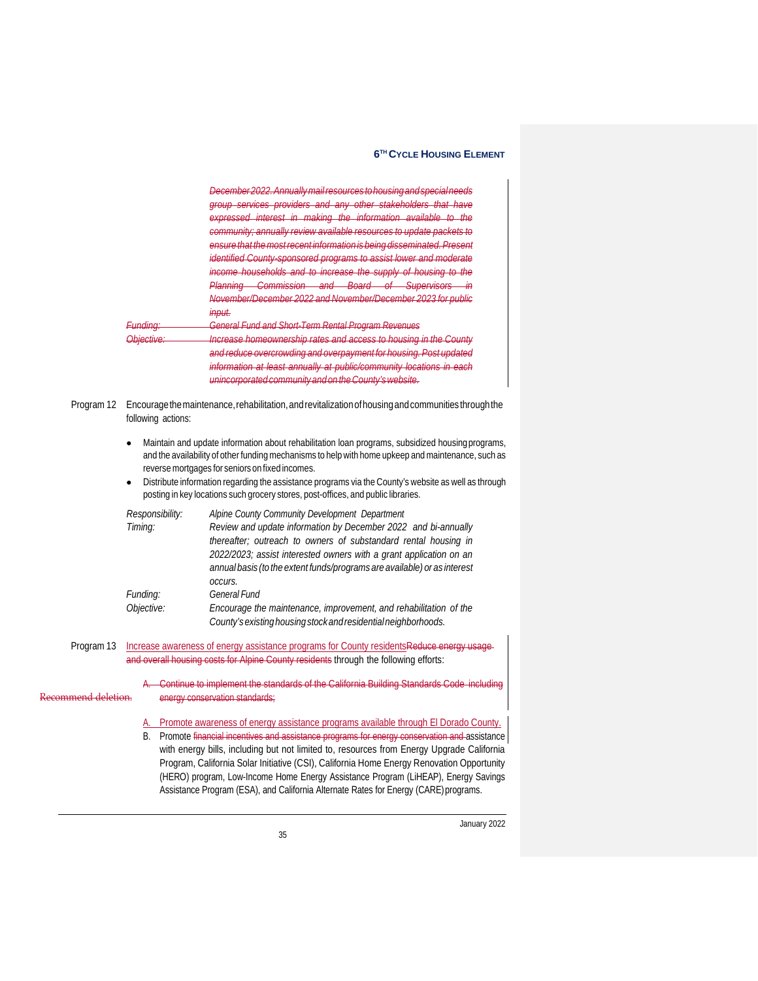|                     | Fundina<br>Obiective.      | December 2022. Annually mail resources to housing and special needs<br>group services providers and any other stakeholders that have<br>expressed interest in making the information available to the<br>community; annually review available resources to update packets to<br>ensure that the most recent information is being disseminated. Present<br>identified County-sponsored programs to assist lower and moderate<br>income households and to increase the supply of housing to the<br>Planning Commission and Board of Supervisors in<br>November/December 2022 and November/December 2023 for public<br>input.<br>General Fund and Short-Term Rental Program Revenues<br>Increase homeownership rates and access to housing in the County<br>and reduce overcrowding and overpayment for housing. Post updated<br>information at least annually at public/community locations in each |
|---------------------|----------------------------|---------------------------------------------------------------------------------------------------------------------------------------------------------------------------------------------------------------------------------------------------------------------------------------------------------------------------------------------------------------------------------------------------------------------------------------------------------------------------------------------------------------------------------------------------------------------------------------------------------------------------------------------------------------------------------------------------------------------------------------------------------------------------------------------------------------------------------------------------------------------------------------------------|
| Program 12          | following actions:         | unincorporated community and on the County's website.<br>Encourage the maintenance, rehabilitation, and revitalization of housing and communities through the                                                                                                                                                                                                                                                                                                                                                                                                                                                                                                                                                                                                                                                                                                                                     |
|                     |                            | Maintain and update information about rehabilitation loan programs, subsidized housing programs,<br>and the availability of other funding mechanisms to help with home upkeep and maintenance, such as<br>reverse mortgages for seniors on fixed incomes.<br>Distribute information regarding the assistance programs via the County's website as well as through<br>posting in key locations such grocery stores, post-offices, and public libraries.                                                                                                                                                                                                                                                                                                                                                                                                                                            |
|                     | Responsibility:<br>Timing: | Alpine County Community Development Department<br>Review and update information by December 2022 and bi-annually<br>thereafter; outreach to owners of substandard rental housing in<br>2022/2023; assist interested owners with a grant application on an<br>annual basis (to the extent funds/programs are available) or as interest                                                                                                                                                                                                                                                                                                                                                                                                                                                                                                                                                             |
|                     | Funding:<br>Objective:     | OCCUIS.<br><b>General Fund</b><br>Encourage the maintenance, improvement, and rehabilitation of the<br>County's existing housing stock and residential neighborhoods.                                                                                                                                                                                                                                                                                                                                                                                                                                                                                                                                                                                                                                                                                                                             |
| Program 13          |                            | Increase awareness of energy assistance programs for County residents Reduce energy usage-<br>and overall housing costs for Alpine County residents through the following efforts:                                                                                                                                                                                                                                                                                                                                                                                                                                                                                                                                                                                                                                                                                                                |
| Recommend deletion. |                            | Continue to implement the standards of the California Building Standards Code including<br>energy conservation standards;                                                                                                                                                                                                                                                                                                                                                                                                                                                                                                                                                                                                                                                                                                                                                                         |
|                     | А.<br>В.                   | Promote awareness of energy assistance programs available through El Dorado County.<br>Promote financial incentives and assistance programs for energy conservation and assistance<br>with energy bills, including but not limited to, resources from Energy Upgrade California<br>Program, California Solar Initiative (CSI), California Home Energy Renovation Opportunity<br>(HERO) program, Low-Income Home Energy Assistance Program (LiHEAP), Energy Savings                                                                                                                                                                                                                                                                                                                                                                                                                                |

Assistance Program (ESA), and California Alternate Rates for Energy (CARE)programs.

January 2022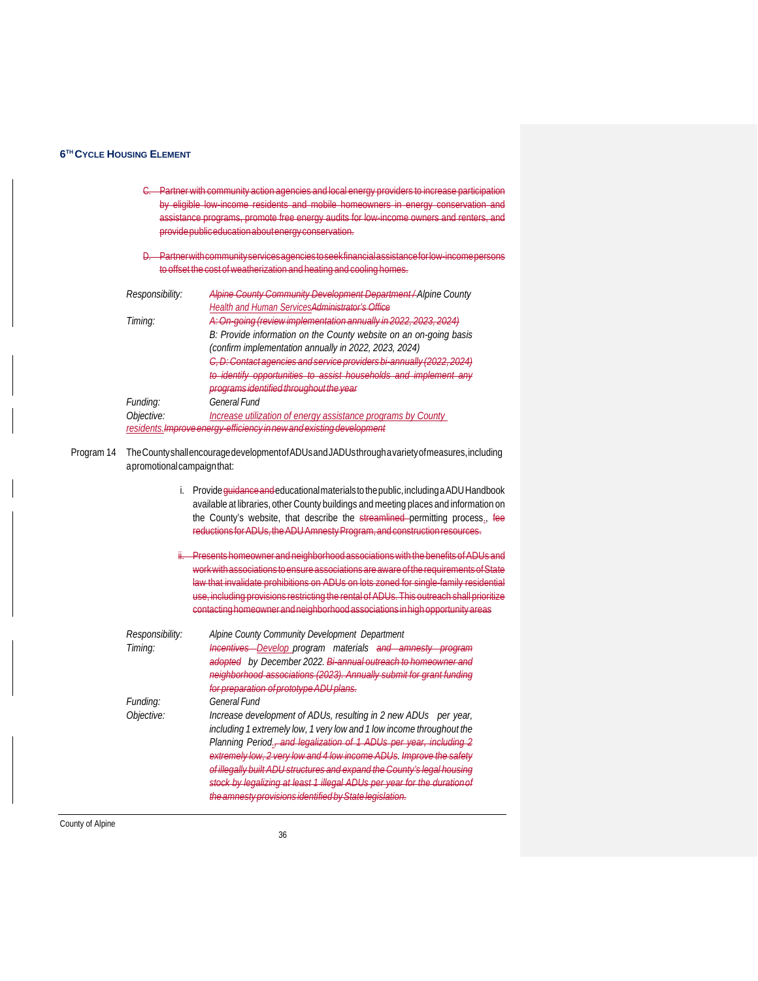- C. Partner with community action agencies and local energy providers to increase participation by eligible low income residents and mobile homeowners in energy conservation assistance programs, promote free energy audits for low-income providepubliceducationaboutenergyconservation.
- D. Partnerwithcommunityservicesagenciestoseekfinancialassistanceforlow-incomepersons to offset the cost of weatherization and heating and cooling hor

| Responsibility: | <b>Alpine County Community Development Department/Alpine County</b>             |  |
|-----------------|---------------------------------------------------------------------------------|--|
|                 | <b>Health and Human ServicesAdministrator's Office</b>                          |  |
| Timing:         | A: On-going (review implementation annually in 2022, 2023, 2024)                |  |
|                 | B: Provide information on the County website on an on-going basis               |  |
|                 | (confirm implementation annually in 2022, 2023, 2024)                           |  |
|                 | $D \cdot$ Contact again case and service providers bi-annually (2022-2024)      |  |
|                 | to identify appartunities to assist households and implement any                |  |
|                 | programe idontified throughout the year                                         |  |
| Funding:        | <b>General Fund</b>                                                             |  |
| Objective:      | Increase utilization of energy assistance programs by County                    |  |
|                 | residents. <del>Improve energy-efficiency in new and existing development</del> |  |

Program 14 TheCountyshallencouragedevelopmentofADUsandJADUsthroughavarietyofmeasures,including apromotionalcampaignthat:

|  |  |  | i. Provide quidance and educational materials to the public, including a ADU Handbook |  |
|--|--|--|---------------------------------------------------------------------------------------|--|
|  |  |  | available at libraries, other County buildings and meeting places and information on  |  |
|  |  |  | the County's website, that describe the streamlined permitting process., fee          |  |
|  |  |  | reductions for ADUs, the ADU Amnesty Program, and construction resources.             |  |
|  |  |  |                                                                                       |  |

ii. Presents homeowner and neighborhood associations with the benefits of ADUs and work with associations to ensure associations are aware of the requirements of State law that invalidate prohibitions on ADUs on lots zoned for single-family residential use, including provisions restricting the rental of ADUs. This outreach shall prioritize contactinghomeownerandneighborhoodassociations inhighopportunityareas

| Responsibility:<br>Timing: | Alpine County Community Development Department<br>Incentives-Develop_program materials and amnesty program<br>adopted by December 2022. Bi-annual outreach to homeowner and<br>neighborhood associations (2023). Annually submit for grant funding<br>for preparation of prototype ADU plans.                                                                                                                                                                                                                          |
|----------------------------|------------------------------------------------------------------------------------------------------------------------------------------------------------------------------------------------------------------------------------------------------------------------------------------------------------------------------------------------------------------------------------------------------------------------------------------------------------------------------------------------------------------------|
| Funding:<br>Objective:     | General Fund<br>Increase development of ADUs, resulting in 2 new ADUs per year,<br>including 1 extremely low, 1 very low and 1 low income throughout the<br>Planning Period., and legalization of 1 ADUs per year, including 2<br>extremely low. 2 very low and 4 low income ADUs. Improve the safety<br>of illegally built ADU structures and expand the County's legal housing<br>stock by legalizing at least 1 illegal ADUs per year for the duration of<br>the amnesty provisions identified by State legislation |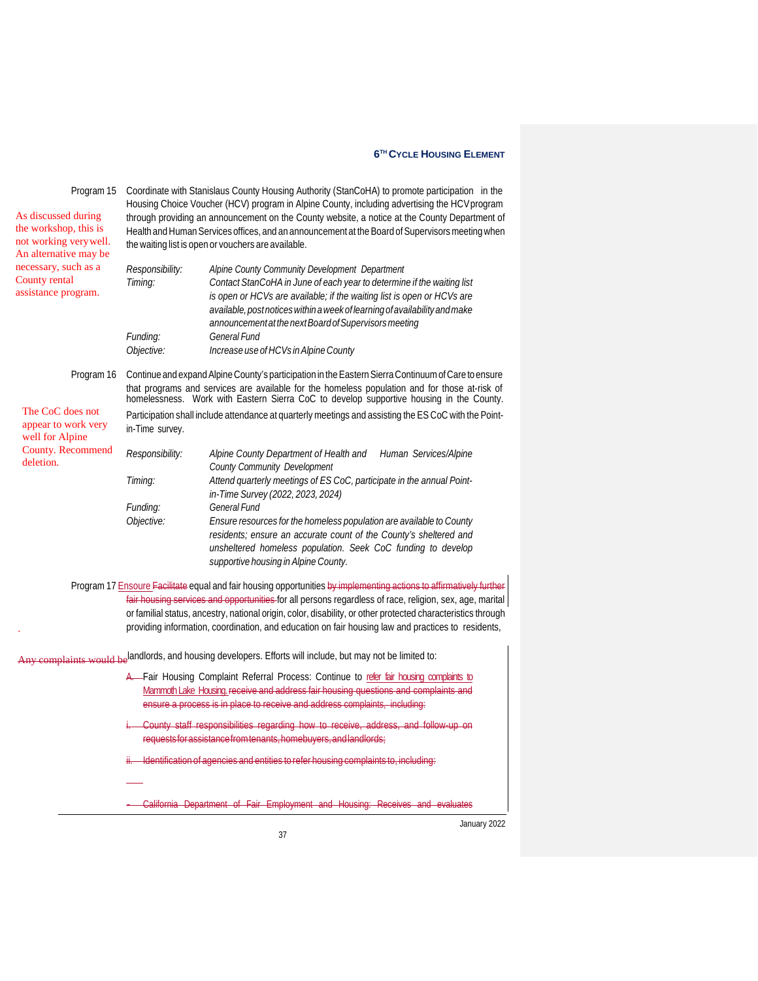| Program 15                                   |                                                                                                 | Coordinate with Stanislaus County Housing Authority (StanCoHA) to promote participation in the                                                                                           |  |  |  |  |
|----------------------------------------------|-------------------------------------------------------------------------------------------------|------------------------------------------------------------------------------------------------------------------------------------------------------------------------------------------|--|--|--|--|
|                                              |                                                                                                 | Housing Choice Voucher (HCV) program in Alpine County, including advertising the HCV program                                                                                             |  |  |  |  |
| As discussed during<br>the workshop, this is | through providing an announcement on the County website, a notice at the County Department of   |                                                                                                                                                                                          |  |  |  |  |
| not working very well.                       | Health and Human Services offices, and an announcement at the Board of Supervisors meeting when |                                                                                                                                                                                          |  |  |  |  |
| An alternative may be                        |                                                                                                 | the waiting list is open or vouchers are available.                                                                                                                                      |  |  |  |  |
| necessary, such as a                         | Responsibility:                                                                                 | Alpine County Community Development Department                                                                                                                                           |  |  |  |  |
| County rental                                | Timing:                                                                                         | Contact StanCoHA in June of each year to determine if the waiting list                                                                                                                   |  |  |  |  |
| assistance program.                          |                                                                                                 | is open or HCVs are available; if the waiting list is open or HCVs are                                                                                                                   |  |  |  |  |
|                                              |                                                                                                 | available, postnotices within a week of learning of availability and make                                                                                                                |  |  |  |  |
|                                              |                                                                                                 | announcement at the next Board of Supervisors meeting                                                                                                                                    |  |  |  |  |
|                                              | Funding:                                                                                        | General Fund                                                                                                                                                                             |  |  |  |  |
|                                              | Objective:                                                                                      | Increase use of HCVs in Alpine County                                                                                                                                                    |  |  |  |  |
| Program 16                                   |                                                                                                 | Continue and expand Alpine County's participation in the Eastern Sierra Continuum of Care to ensure                                                                                      |  |  |  |  |
|                                              |                                                                                                 | that programs and services are available for the homeless population and for those at-risk of<br>homelessness. Work with Eastern Sierra CoC to develop supportive housing in the County. |  |  |  |  |
| The CoC does not                             |                                                                                                 | Participation shall include attendance at quarterly meetings and assisting the ES CoC with the Point-                                                                                    |  |  |  |  |
| appear to work very                          | in-Time survey.                                                                                 |                                                                                                                                                                                          |  |  |  |  |
| well for Alpine<br>County. Recommend         |                                                                                                 |                                                                                                                                                                                          |  |  |  |  |
| deletion.                                    | Responsibility:                                                                                 | Alpine County Department of Health and<br>Human Services/Alpine                                                                                                                          |  |  |  |  |
|                                              |                                                                                                 | <b>County Community Development</b>                                                                                                                                                      |  |  |  |  |
|                                              | Timing:                                                                                         | Attend quarterly meetings of ES CoC, participate in the annual Point-<br>in-Time Survey (2022, 2023, 2024)                                                                               |  |  |  |  |
|                                              | Funding:                                                                                        | General Fund                                                                                                                                                                             |  |  |  |  |
|                                              | Objective:                                                                                      | Ensure resources for the homeless population are available to County                                                                                                                     |  |  |  |  |
|                                              |                                                                                                 | residents; ensure an accurate count of the County's sheltered and                                                                                                                        |  |  |  |  |
|                                              |                                                                                                 | unsheltered homeless population. Seek CoC funding to develop                                                                                                                             |  |  |  |  |
|                                              |                                                                                                 | supportive housing in Alpine County.                                                                                                                                                     |  |  |  |  |
|                                              |                                                                                                 | Program 17 Ensoure Facilitate equal and fair housing opportunities by implementing actions to affirmatively further                                                                      |  |  |  |  |
|                                              |                                                                                                 | fair housing services and opportunities for all persons regardless of race, religion, sex, age, marital                                                                                  |  |  |  |  |
|                                              |                                                                                                 | or familial status, ancestry, national origin, color, disability, or other protected characteristics through                                                                             |  |  |  |  |
|                                              |                                                                                                 | providing information, coordination, and education on fair housing law and practices to residents,                                                                                       |  |  |  |  |
|                                              |                                                                                                 |                                                                                                                                                                                          |  |  |  |  |
|                                              |                                                                                                 | Any complaints would be <sup>landlords, and housing developers. Efforts will include, but may not be limited to:</sup>                                                                   |  |  |  |  |
|                                              |                                                                                                 | A. Fair Housing Complaint Referral Process: Continue to refer fair housing complaints to                                                                                                 |  |  |  |  |
|                                              |                                                                                                 | Mammoth Lake Housing receive and address fair housing questions and complaints and                                                                                                       |  |  |  |  |
|                                              |                                                                                                 | ensure a process is in place to receive and address complaints, including:                                                                                                               |  |  |  |  |
|                                              |                                                                                                 | County staff responsibilities regarding how to receive, address, and follow up on                                                                                                        |  |  |  |  |
|                                              |                                                                                                 | requests for assistance from tenants, homebuyers, and landlords;                                                                                                                         |  |  |  |  |
|                                              |                                                                                                 | ii. Identification of agencies and entities to refer housing complaints to, including:                                                                                                   |  |  |  |  |
|                                              |                                                                                                 |                                                                                                                                                                                          |  |  |  |  |
|                                              |                                                                                                 | California Department of Fair Employment and Housing:<br>Receives<br>evaluates<br><del>and</del>                                                                                         |  |  |  |  |
|                                              |                                                                                                 | January 2022                                                                                                                                                                             |  |  |  |  |

ary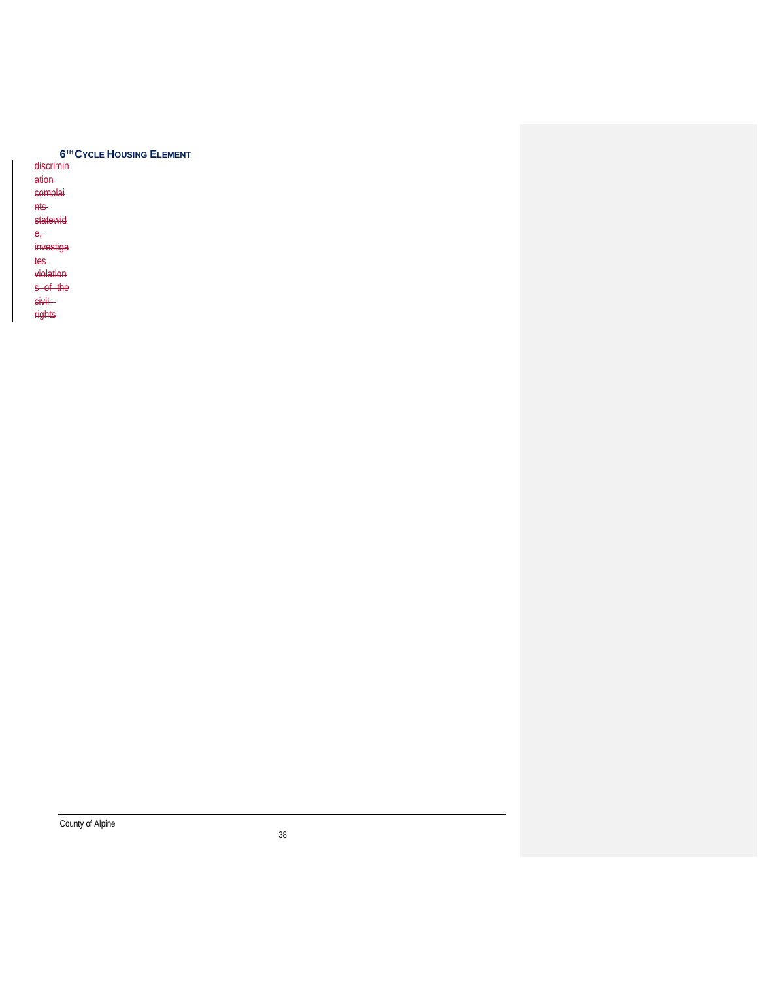|  | 6 <sup>TH</sup> CYCLE HOUSING ELEMENT |
|--|---------------------------------------|
|--|---------------------------------------|

discrimin ation complai

nts

statewid  $e_r$ 

investiga

tes

violation

s of the

civil

rights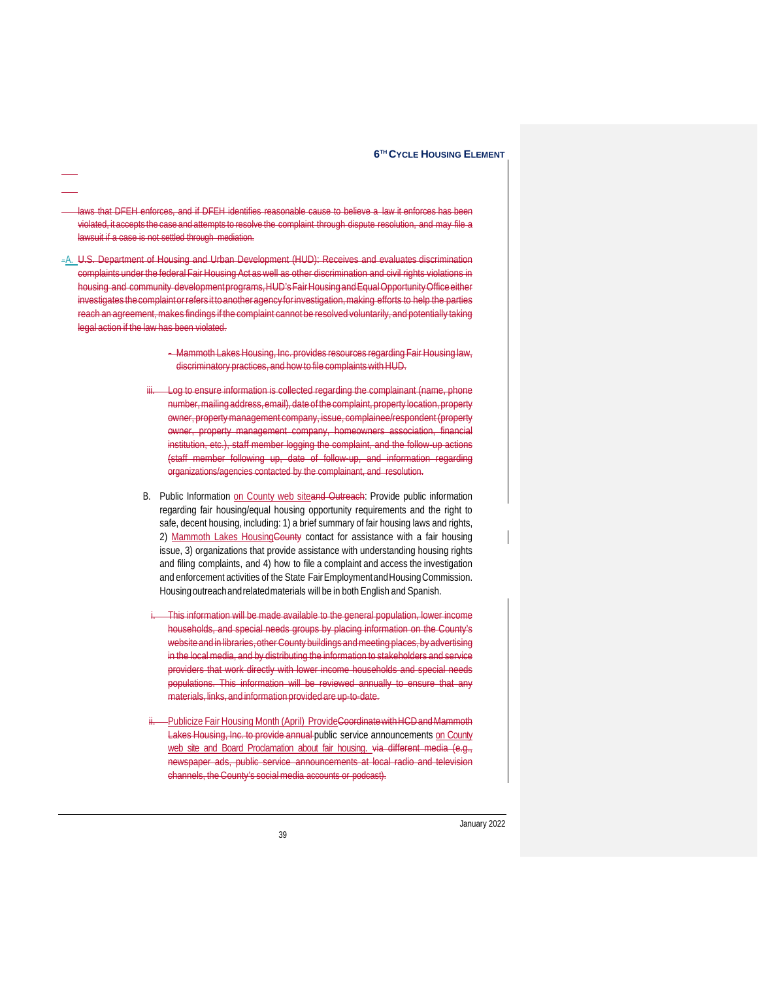- laws that DFEH enforces, and if DFEH identifies reasonable cause to believe a law it enforces has violated, it accepts the case and attempts to resolve the complaint through dispute resolution, and may file a lawsuit if a case is not settled through mediation.
- -A. U.S. Department of Housing and Urban Development (HUD): Receives and evaluates discrimination complaints under the federal Fair Housing Act as well as other discrimination and civil rights violations in housing and community development programs, HUD's Fair Housing and Equal Opportunity Office either investigates the complaint or refers it to another agency for investigation, making efforts to help the parties reach an agreement, makes findings if the complaint cannot be resolved voluntarily, and potentially taking legal action if the law has been violated.
	- Mammoth Lakes Housing, Inc. provides resources regarding Fair Housing law, discriminatory practices, and how to file complaints with HUD.
	- Log to ensure information is collected regarding the complainant (name, phone number,mailing address,email),date of the complaint, property location,property owner, propertymanagement company, issue, complainee/respondent (property owner, property management company, homeowners association, financial institution, etc.), staff member logging the complaint, and the follow-up actions (staff member following up, date of follow-up, and information regarding organizations/agencies contacted by the complainant, and resolution.
	- B. Public Information on County web siteand Outreach: Provide public information regarding fair housing/equal housing opportunity requirements and the right to safe, decent housing, including: 1) a brief summary of fair housing laws and rights, 2) Mammoth Lakes HousingCounty contact for assistance with a fair housing issue, 3) organizations that provide assistance with understanding housing rights and filing complaints, and 4) how to file a complaint and access the investigation and enforcement activities of the State Fair Employment and Housing Commission. Housingoutreachandrelatedmaterials will be in both English and Spanish.
		- This information will be made available to the general population, lower income households, and special needs groups by placing information on the County's website and in libraries, other County buildings and meeting places, by advertising in the localmedia, and by distributing the information to stakeholders and service providers that work directly with lower income households and special needs populations. This information will be reviewed annually to ensure that any materials, links, and information provided are up-to-date.
	- -Publicize Fair Housing Month (April) ProvideCoordinatewith HCD and Mammoth Lakes Housing, Inc. to provide annual public service announcements on County web site and Board Proclamation about fair housing. via different media (e.g., newspaper ads, public service announcements at local radio and television channels, theCounty's socialmedia accounts or podcast).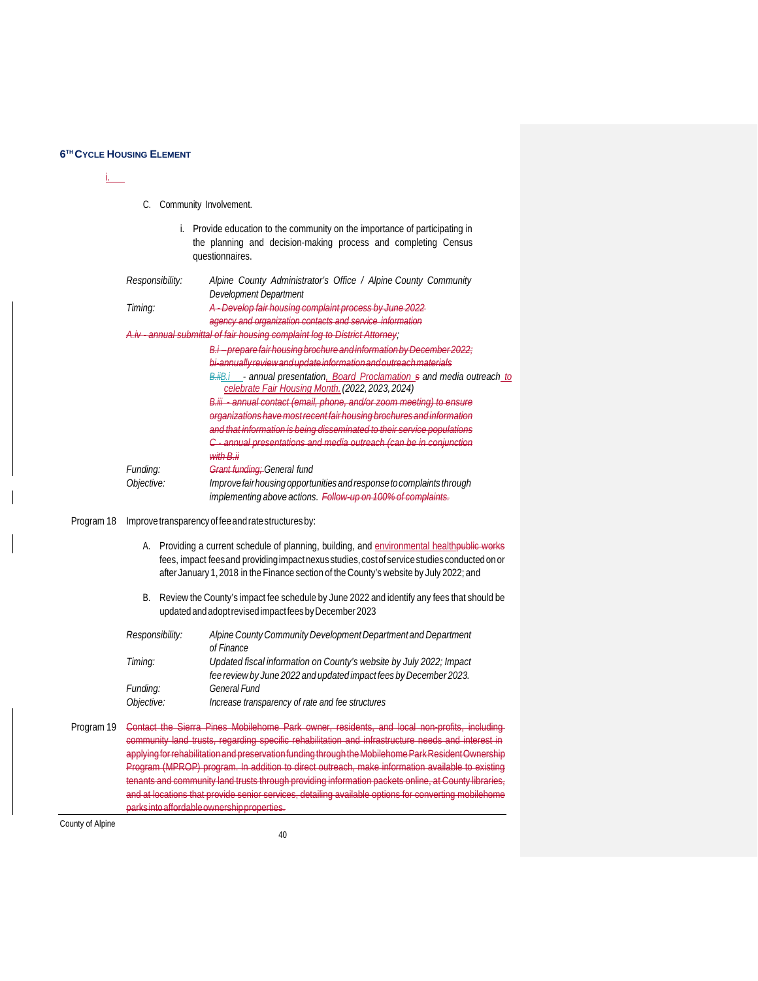i.

#### C. Community Involvement.

| i. Provide education to the community on the importance of participating in |                 |  |                                                                |  |  |  |
|-----------------------------------------------------------------------------|-----------------|--|----------------------------------------------------------------|--|--|--|
|                                                                             |                 |  | the planning and decision-making process and completing Census |  |  |  |
|                                                                             | questionnaires. |  |                                                                |  |  |  |

| Responsibility: | Alpine County Administrator's Office / Alpine County Community            |
|-----------------|---------------------------------------------------------------------------|
|                 | Development Department                                                    |
| Timing:         | A - Develop fair housing complaint process by June 2022                   |
|                 | agency and organization contacts and service information                  |
|                 | A.iv annual submittal of fair housing complaint log to District Attorney; |
|                 | proparo fair bousing brochuro and information by Docombor 2022.           |
|                 | hi annually rovious and undato information and outroach matorials         |
|                 | B.ilB.i - annual presentation, Board Proclamation s and media outreach to |
|                 | celebrate Fair Housing Month. (2022, 2023, 2024)                          |

*B.iii - annual contact (email, phone, and/or zoom meeting) to ensure organizations havemostrecent fair housing brochuresand information and that information is being disseminated to their service populations C - annual presentations and media outreach (can be in conjunction with B.ii Funding: Grant funding; General fund Objective: Improvefairhousingopportunitiesandresponsetocomplaints through*

*implementing above actions. Follow-up on 100% of complaints.*

Program 18 Improve transparency of fee and rate structures by:

- A. Providing a current schedule of planning, building, and environmental healthpublic works fees, impact feesand providing impactnexus studies, cost of service studies conducted on or after January 1,2018 in the Finance section of theCounty's website by July 2022; and
- B. Review the County's impact fee schedule by June 2022 and identify any fees that should be updatedandadoptrevisedimpactfeesbyDecember2023

| Responsibility: | Alpine County Community Development Department and Department       |
|-----------------|---------------------------------------------------------------------|
|                 | of Finance                                                          |
| Timing:         | Updated fiscal information on County's website by July 2022; Impact |
|                 | fee review by June 2022 and updated impact fees by December 2023.   |
| Funding:        | <b>General Fund</b>                                                 |
| Objective:      | Increase transparency of rate and fee structures                    |

Program 19 <del>Contact the Sierra Pines Mobilehome Park owner, residents, and local non-profits, including</del> community land trusts, regarding specific rehabilitation and infrastructure needs and interest in applyingforrehabilitationandpreservationfundingthroughtheMobilehomeParkResidentOwnership Program (MPROP) program. In addition to direct outreach, make information available to existing tenants and community land trusts through providing information packets online, at County libraries, and at locations that provide senior services, detailing available options for converting mobilehome parksintoaffordableownershipproperties.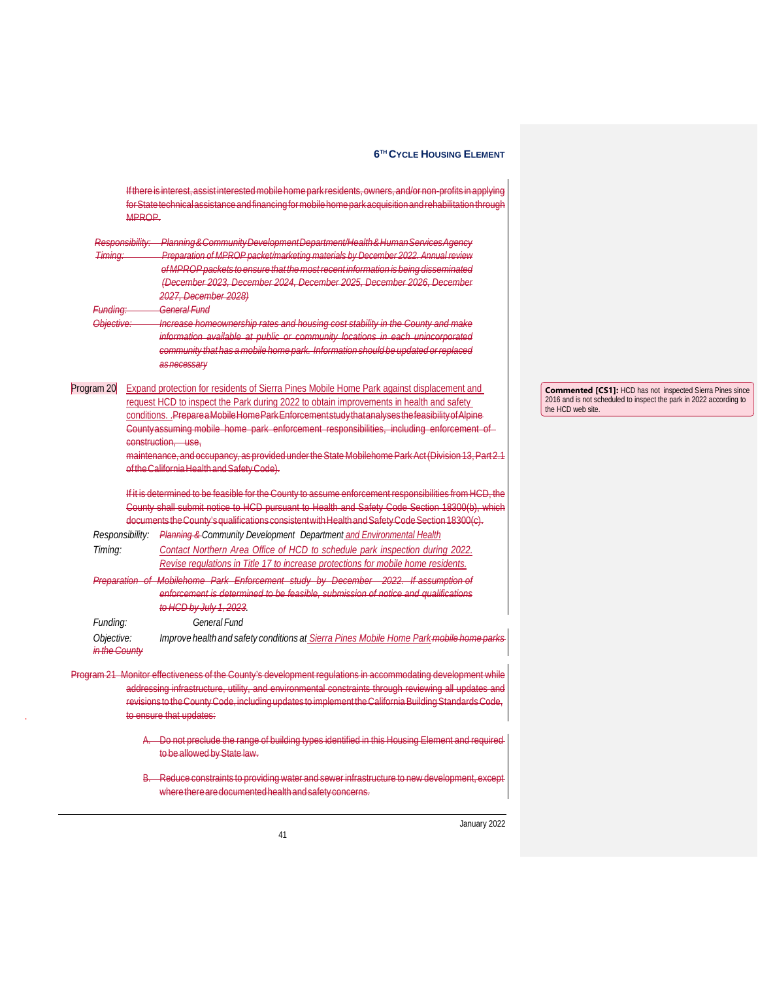|                             | Responsibility: | Planning & Community Development Department/Health & Human Services Agency                                                                                                                     |                      |
|-----------------------------|-----------------|------------------------------------------------------------------------------------------------------------------------------------------------------------------------------------------------|----------------------|
| Timing:                     |                 | Preparation of MPROP packet/marketing materials by December 2022. Annual review                                                                                                                |                      |
|                             |                 | of MPROP packets to ensure that the most recent information is being disseminated                                                                                                              |                      |
|                             |                 | (December 2023, December 2024, December 2025, December 2026, December                                                                                                                          |                      |
|                             |                 | 2027, December 2028)                                                                                                                                                                           |                      |
| Funding:                    |                 | General Fund                                                                                                                                                                                   |                      |
| <b>Objective</b>            |                 | Increase homeownership rates and housing cost stability in the County and make                                                                                                                 |                      |
|                             |                 | information available at public or community locations in each unincorporated                                                                                                                  |                      |
|                             |                 | community that has a mobile home park. Information should be updated or replaced                                                                                                               |                      |
|                             |                 | as necessary                                                                                                                                                                                   |                      |
| Program 20                  |                 | Expand protection for residents of Sierra Pines Mobile Home Park against displacement and                                                                                                      | Commented [CS        |
|                             |                 | request HCD to inspect the Park during 2022 to obtain improvements in health and safety                                                                                                        | 2016 and is not sche |
|                             |                 | conditions. PrepareaMobileHomeParkEnforcementstudythatanalysesthefeasibilityofAlpine                                                                                                           | the HCD web site.    |
|                             |                 | Countyassuming mobile home park enforcement responsibilities, including enforcement of                                                                                                         |                      |
|                             |                 | construction. use.                                                                                                                                                                             |                      |
|                             |                 | maintenance, and occupancy, as provided under the State Mobilehome Park Act (Division 13, Part 2.1                                                                                             |                      |
|                             |                 | of the California Health and Safety Code).                                                                                                                                                     |                      |
|                             |                 |                                                                                                                                                                                                |                      |
|                             |                 |                                                                                                                                                                                                |                      |
|                             |                 | If it is determined to be feasible for the County to assume enforcement responsibilities from HCD, the                                                                                         |                      |
|                             |                 | County shall submit notice to HCD pursuant to Health and Safety Code Section 18300(b), which<br>documents the County's qualifications consistent with Health and Safety Code Section 18300(c). |                      |
|                             |                 | Responsibility: Planning & Community Development Department and Environmental Health                                                                                                           |                      |
| Timing:                     |                 | Contact Northern Area Office of HCD to schedule park inspection during 2022.                                                                                                                   |                      |
|                             |                 |                                                                                                                                                                                                |                      |
|                             |                 | Revise regulations in Title 17 to increase protections for mobile home residents.                                                                                                              |                      |
|                             |                 | Preparation of Mobilehome Park Enforcement study by December 2022. If assumption of<br>enforcement is determined to be feasible, submission of notice and qualifications                       |                      |
|                             |                 | to HCD by July 1, 2023.                                                                                                                                                                        |                      |
|                             |                 | General Fund                                                                                                                                                                                   |                      |
| Funding:                    |                 |                                                                                                                                                                                                |                      |
| Objective:<br>in the County |                 | Improve health and safety conditions at Sierra Pines Mobile Home Park-mobile home parks                                                                                                        |                      |
|                             |                 |                                                                                                                                                                                                |                      |
|                             |                 | Program 21 Monitor effectiveness of the County's development regulations in accommodating development while                                                                                    |                      |
|                             |                 | addressing infrastructure, utility, and environmental constraints through reviewing all updates and                                                                                            |                      |
|                             |                 | revisions to the County Code, including updates to implement the California Building Standards Code,<br>to ensure that updates:                                                                |                      |
|                             |                 |                                                                                                                                                                                                |                      |
|                             |                 | A. Do not preclude the range of building types identified in this Housing Element and required<br>to be allowed by State law.                                                                  |                      |
|                             |                 | B. Reduce constraints to providing water and sewer infrastructure to new development, except                                                                                                   |                      |

If there is interest, assist interested mobile home park residents, owners, and/or non-profits in applying

**Commented [CS1]:** HCD has not inspected Sierra Pines since 2016 and is not scheduled to inspect the park in 2022 according to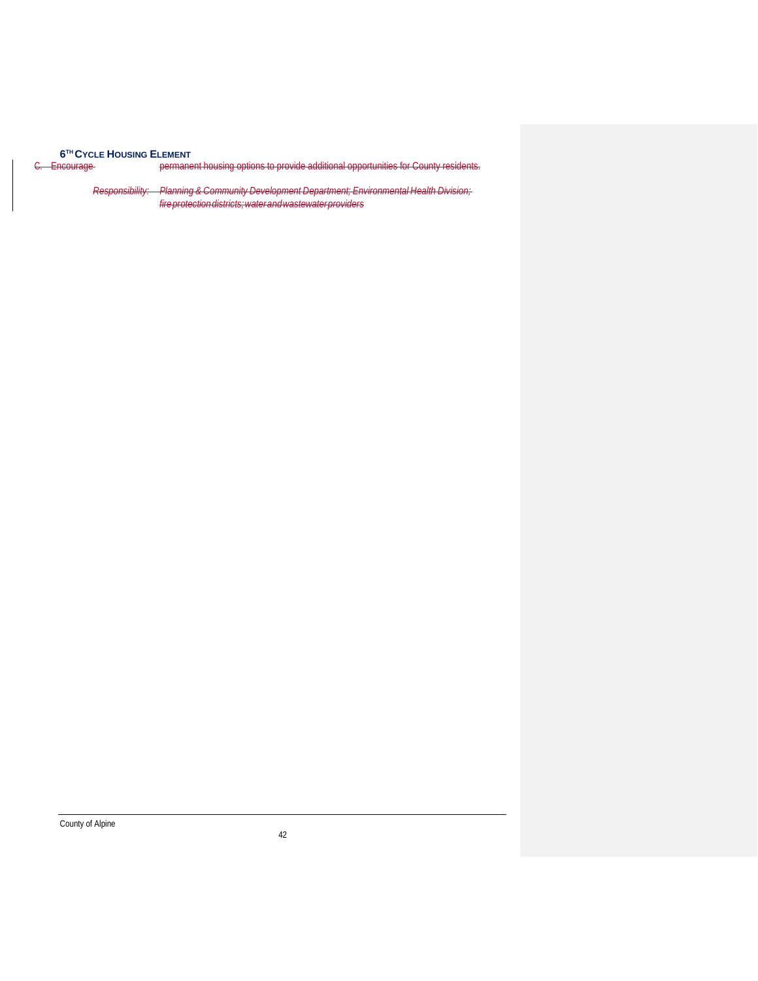**6TH CYCLE HOUSING ELEMENT**<br><del>C. Encourage</del> permane

permanent housing options to provide additional opportunities for County residents.

*Responsibility: Planning & Community Development Department; Environmental Health Division; fireprotectiondistricts;waterandwastewaterproviders*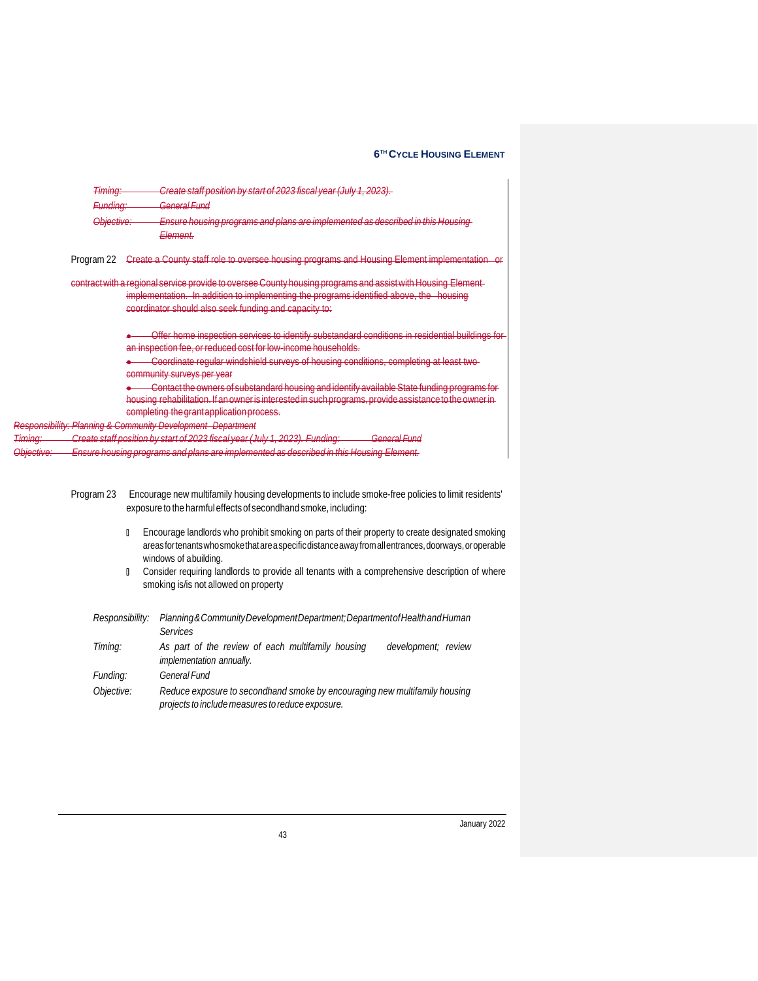|                       | <del>Timing:</del> | Create staff position by start of 2023 fiscal year (July 1, 2023).                                                                                                                                                                                                                                                                                                                                                                                                                                                                                   |
|-----------------------|--------------------|------------------------------------------------------------------------------------------------------------------------------------------------------------------------------------------------------------------------------------------------------------------------------------------------------------------------------------------------------------------------------------------------------------------------------------------------------------------------------------------------------------------------------------------------------|
|                       | Funding:           | <del>General Fund</del>                                                                                                                                                                                                                                                                                                                                                                                                                                                                                                                              |
|                       | Objective:         | Ensure housing programs and plans are implemented as described in this Housing<br><del>Element.</del>                                                                                                                                                                                                                                                                                                                                                                                                                                                |
|                       | Program 22         | Create a County staff role to oversee housing programs and Housing Element implementation                                                                                                                                                                                                                                                                                                                                                                                                                                                            |
|                       |                    | contract with a regional service provide to oversee County housing programs and assist with Housing Element-<br>implementation. In addition to implementing the programs identified above, the housing<br>coordinator should also seek funding and capacity to:                                                                                                                                                                                                                                                                                      |
|                       |                    | Offer home inspection services to identify substandard conditions in residential buildings for<br>an inspection fee, or reduced cost for low income households.<br>Coordinate regular windshield surveys of housing conditions, completing at least two-<br>community surveys per year<br><u>Contact the owners of substandard housing and identify available State funding programs for </u><br>housing rehabilitation. If an owner is interested in such programs, provide assistance to the owner in<br>completing the grant application process. |
|                       |                    | Responsibility: Planning & Community Development Department                                                                                                                                                                                                                                                                                                                                                                                                                                                                                          |
| <del>Timing:</del>    |                    | Create staff position by start of 2023 fiscal year (July 1, 2023). Funding:<br>General Fund                                                                                                                                                                                                                                                                                                                                                                                                                                                          |
| <del>Objective:</del> |                    | Ensure housing programs and plans are implemented as described in this Housing Element.                                                                                                                                                                                                                                                                                                                                                                                                                                                              |

- Program 23 Encourage new multifamily housing developments to include smoke-free policies to limit residents' exposure to the harmfuleffects of secondhand smoke, including:
	- Encourage landlords who prohibit smoking on parts of their property to create designated smoking areasfortenantswhosmokethatareaspecificdistanceawayfromallentrances,doorways,oroperable windows of abuilding.
	- **n** Consider requiring landlords to provide all tenants with a comprehensive description of where smoking is/is not allowed on property

| Responsibility: | Planning & Community Development Department; Department of Health and Human                                                    |  |  |
|-----------------|--------------------------------------------------------------------------------------------------------------------------------|--|--|
|                 | Services                                                                                                                       |  |  |
| Timing:         | As part of the review of each multifamily housing<br>development; review                                                       |  |  |
|                 | implementation annually.                                                                                                       |  |  |
| Funding:        | <b>General Fund</b>                                                                                                            |  |  |
| Objective:      | Reduce exposure to secondhand smoke by encouraging new multifamily housing<br>projects to include measures to reduce exposure. |  |  |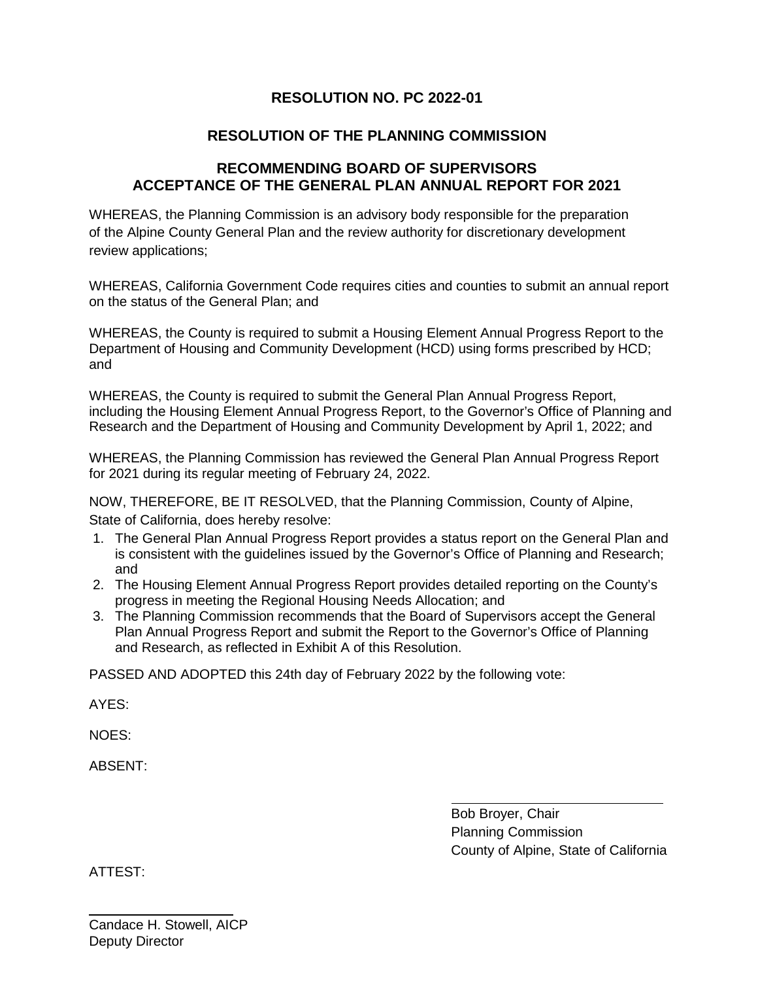## **RESOLUTION NO. PC 2022-01**

## **RESOLUTION OF THE PLANNING COMMISSION**

## **RECOMMENDING BOARD OF SUPERVISORS ACCEPTANCE OF THE GENERAL PLAN ANNUAL REPORT FOR 2021**

WHEREAS, the Planning Commission is an advisory body responsible for the preparation of the Alpine County General Plan and the review authority for discretionary development review applications;

WHEREAS, California Government Code requires cities and counties to submit an annual report on the status of the General Plan; and

WHEREAS, the County is required to submit a Housing Element Annual Progress Report to the Department of Housing and Community Development (HCD) using forms prescribed by HCD; and

WHEREAS, the County is required to submit the General Plan Annual Progress Report, including the Housing Element Annual Progress Report, to the Governor's Office of Planning and Research and the Department of Housing and Community Development by April 1, 2022; and

WHEREAS, the Planning Commission has reviewed the General Plan Annual Progress Report for 2021 during its regular meeting of February 24, 2022.

NOW, THEREFORE, BE IT RESOLVED, that the Planning Commission, County of Alpine, State of California, does hereby resolve:

- 1. The General Plan Annual Progress Report provides a status report on the General Plan and is consistent with the guidelines issued by the Governor's Office of Planning and Research; and
- 2. The Housing Element Annual Progress Report provides detailed reporting on the County's progress in meeting the Regional Housing Needs Allocation; and
- 3. The Planning Commission recommends that the Board of Supervisors accept the General Plan Annual Progress Report and submit the Report to the Governor's Office of Planning and Research, as reflected in Exhibit A of this Resolution.

PASSED AND ADOPTED this 24th day of February 2022 by the following vote:

AYES:

NOES:

ABSENT:

Bob Broyer, Chair Planning Commission County of Alpine, State of California

ATTEST: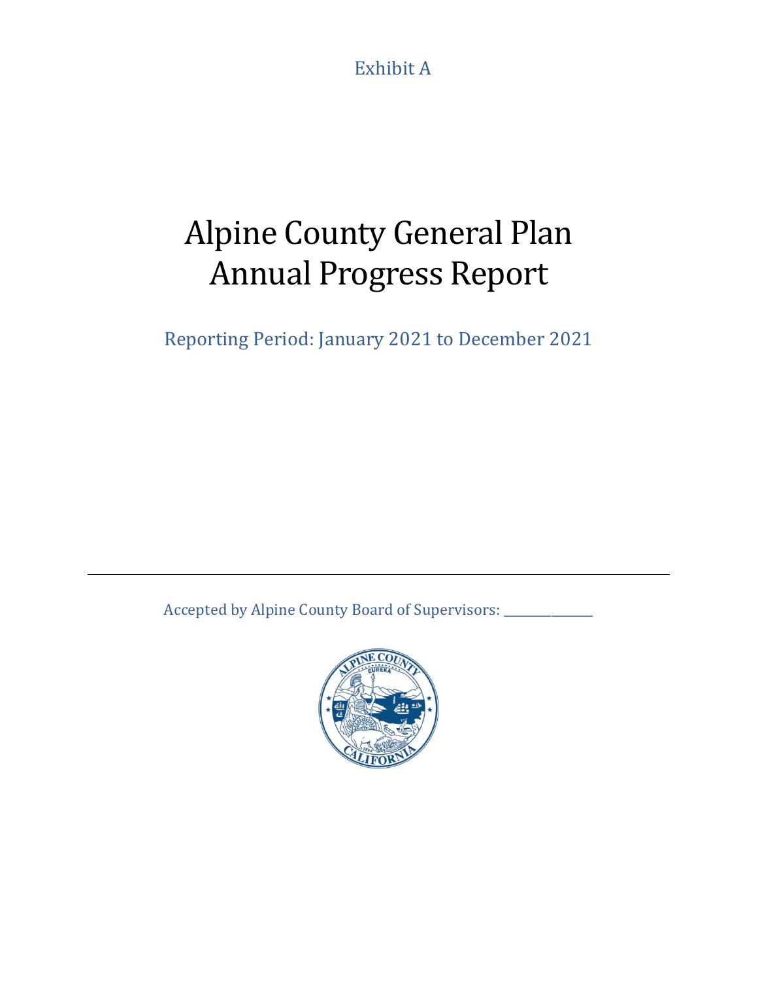Exhibit A

# Alpine County General Plan Annual Progress Report

Reporting Period: January 2021 to December 2021

Accepted by Alpine County Board of Supervisors: \_\_\_\_\_\_\_\_\_\_\_\_\_\_\_\_\_\_\_\_\_\_\_\_\_\_\_\_\_\_\_\_\_

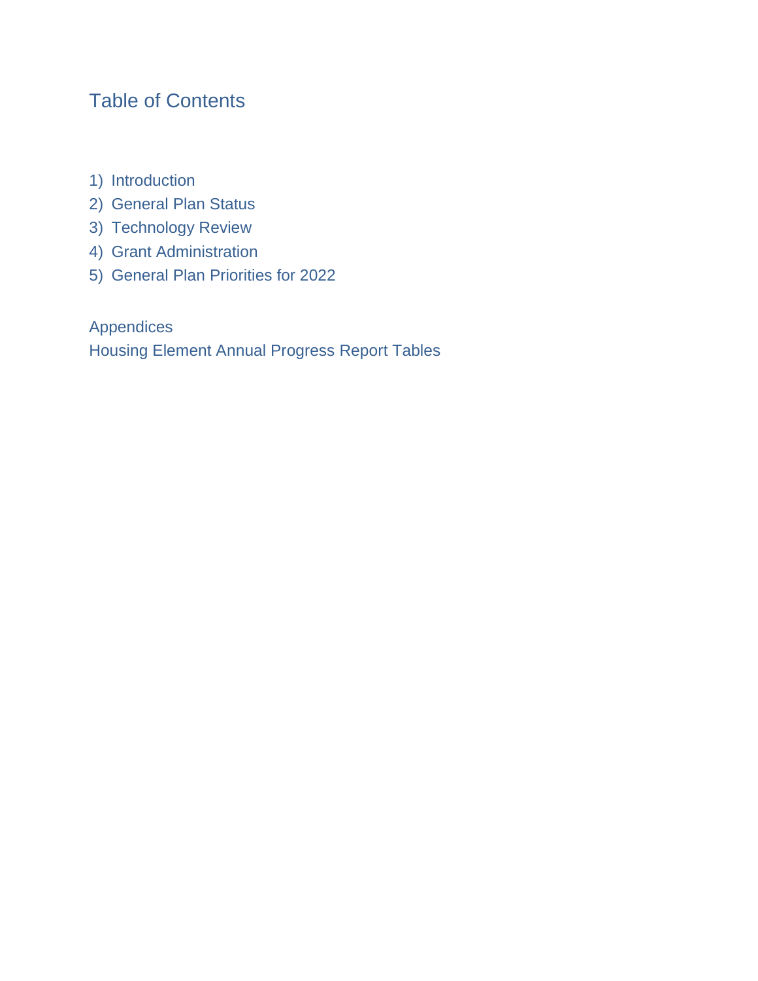## Table of Contents

- 1) Introduction
- 2) General Plan Status
- 3) Technology Review
- 4) Grant Administration
- 5) General Plan Priorities for 2022

Appendices Housing Element Annual Progress Report Tables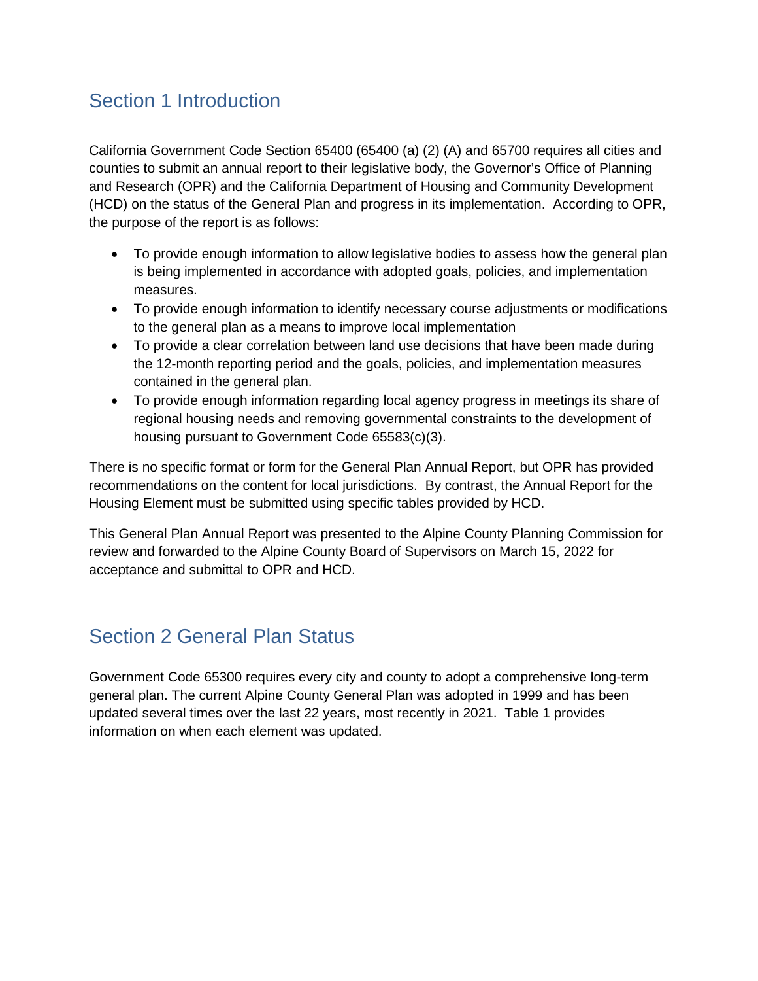## Section 1 Introduction

California Government Code Section 65400 (65400 (a) (2) (A) and 65700 requires all cities and counties to submit an annual report to their legislative body, the Governor's Office of Planning and Research (OPR) and the California Department of Housing and Community Development (HCD) on the status of the General Plan and progress in its implementation. According to OPR, the purpose of the report is as follows:

- To provide enough information to allow legislative bodies to assess how the general plan is being implemented in accordance with adopted goals, policies, and implementation measures.
- To provide enough information to identify necessary course adjustments or modifications to the general plan as a means to improve local implementation
- To provide a clear correlation between land use decisions that have been made during the 12-month reporting period and the goals, policies, and implementation measures contained in the general plan.
- To provide enough information regarding local agency progress in meetings its share of regional housing needs and removing governmental constraints to the development of housing pursuant to Government Code 65583(c)(3).

There is no specific format or form for the General Plan Annual Report, but OPR has provided recommendations on the content for local jurisdictions. By contrast, the Annual Report for the Housing Element must be submitted using specific tables provided by HCD.

This General Plan Annual Report was presented to the Alpine County Planning Commission for review and forwarded to the Alpine County Board of Supervisors on March 15, 2022 for acceptance and submittal to OPR and HCD.

## Section 2 General Plan Status

Government Code 65300 requires every city and county to adopt a comprehensive long-term general plan. The current Alpine County General Plan was adopted in 1999 and has been updated several times over the last 22 years, most recently in 2021. Table 1 provides information on when each element was updated.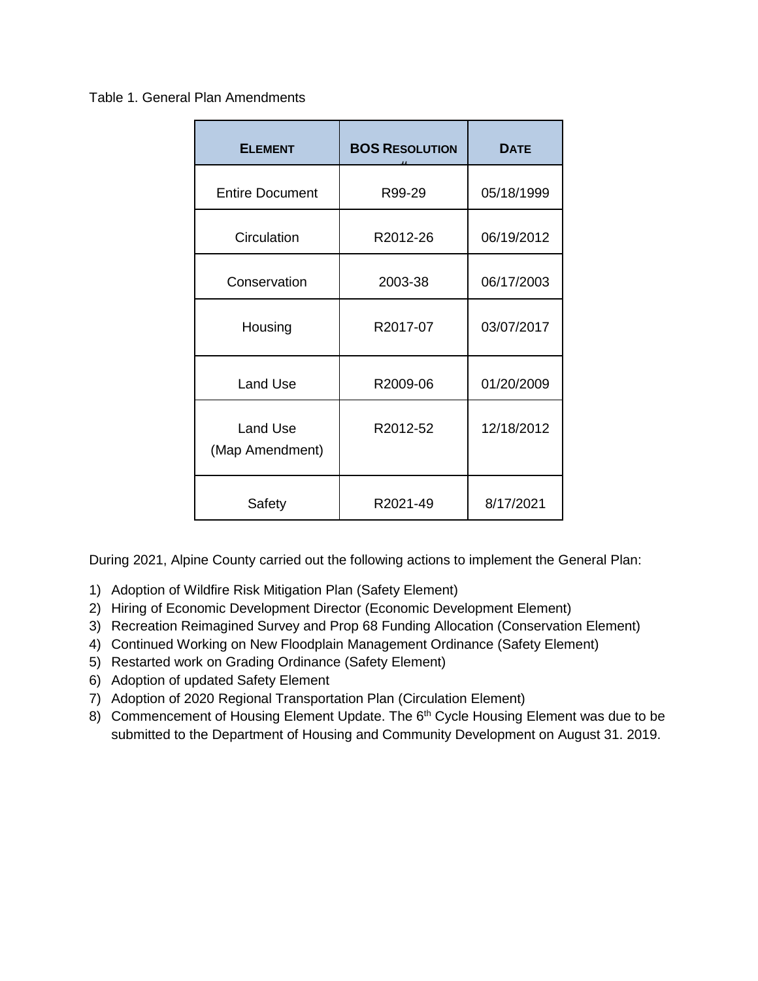### Table 1. General Plan Amendments

| <b>ELEMENT</b>                     | <b>BOS RESOLUTION</b> | <b>DATE</b> |  |
|------------------------------------|-----------------------|-------------|--|
| <b>Entire Document</b>             | R99-29                | 05/18/1999  |  |
| Circulation                        | R2012-26              | 06/19/2012  |  |
| Conservation                       | 2003-38               | 06/17/2003  |  |
| Housing                            | R2017-07              | 03/07/2017  |  |
| <b>Land Use</b>                    | R2009-06              | 01/20/2009  |  |
| <b>Land Use</b><br>(Map Amendment) | R2012-52              | 12/18/2012  |  |
| Safety                             | R2021-49              | 8/17/2021   |  |

During 2021, Alpine County carried out the following actions to implement the General Plan:

- 1) Adoption of Wildfire Risk Mitigation Plan (Safety Element)
- 2) Hiring of Economic Development Director (Economic Development Element)
- 3) Recreation Reimagined Survey and Prop 68 Funding Allocation (Conservation Element)
- 4) Continued Working on New Floodplain Management Ordinance (Safety Element)
- 5) Restarted work on Grading Ordinance (Safety Element)
- 6) Adoption of updated Safety Element
- 7) Adoption of 2020 Regional Transportation Plan (Circulation Element)
- 8) Commencement of Housing Element Update. The 6<sup>th</sup> Cycle Housing Element was due to be submitted to the Department of Housing and Community Development on August 31. 2019.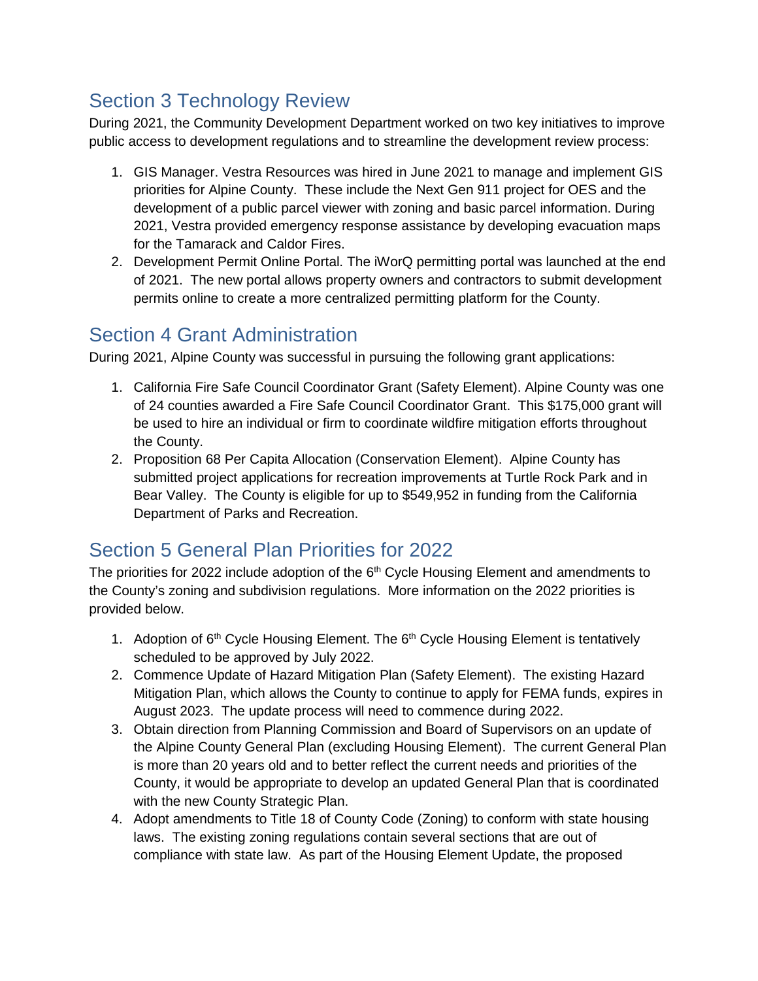## Section 3 Technology Review

During 2021, the Community Development Department worked on two key initiatives to improve public access to development regulations and to streamline the development review process:

- 1. GIS Manager. Vestra Resources was hired in June 2021 to manage and implement GIS priorities for Alpine County. These include the Next Gen 911 project for OES and the development of a public parcel viewer with zoning and basic parcel information. During 2021, Vestra provided emergency response assistance by developing evacuation maps for the Tamarack and Caldor Fires.
- 2. Development Permit Online Portal. The iWorQ permitting portal was launched at the end of 2021. The new portal allows property owners and contractors to submit development permits online to create a more centralized permitting platform for the County.

## Section 4 Grant Administration

During 2021, Alpine County was successful in pursuing the following grant applications:

- 1. California Fire Safe Council Coordinator Grant (Safety Element). Alpine County was one of 24 counties awarded a Fire Safe Council Coordinator Grant. This \$175,000 grant will be used to hire an individual or firm to coordinate wildfire mitigation efforts throughout the County.
- 2. Proposition 68 Per Capita Allocation (Conservation Element). Alpine County has submitted project applications for recreation improvements at Turtle Rock Park and in Bear Valley. The County is eligible for up to \$549,952 in funding from the California Department of Parks and Recreation.

## Section 5 General Plan Priorities for 2022

The priorities for 2022 include adoption of the  $6<sup>th</sup>$  Cycle Housing Element and amendments to the County's zoning and subdivision regulations. More information on the 2022 priorities is provided below.

- 1. Adoption of 6<sup>th</sup> Cycle Housing Element. The 6<sup>th</sup> Cycle Housing Element is tentatively scheduled to be approved by July 2022.
- 2. Commence Update of Hazard Mitigation Plan (Safety Element). The existing Hazard Mitigation Plan, which allows the County to continue to apply for FEMA funds, expires in August 2023. The update process will need to commence during 2022.
- 3. Obtain direction from Planning Commission and Board of Supervisors on an update of the Alpine County General Plan (excluding Housing Element). The current General Plan is more than 20 years old and to better reflect the current needs and priorities of the County, it would be appropriate to develop an updated General Plan that is coordinated with the new County Strategic Plan.
- 4. Adopt amendments to Title 18 of County Code (Zoning) to conform with state housing laws. The existing zoning regulations contain several sections that are out of compliance with state law. As part of the Housing Element Update, the proposed